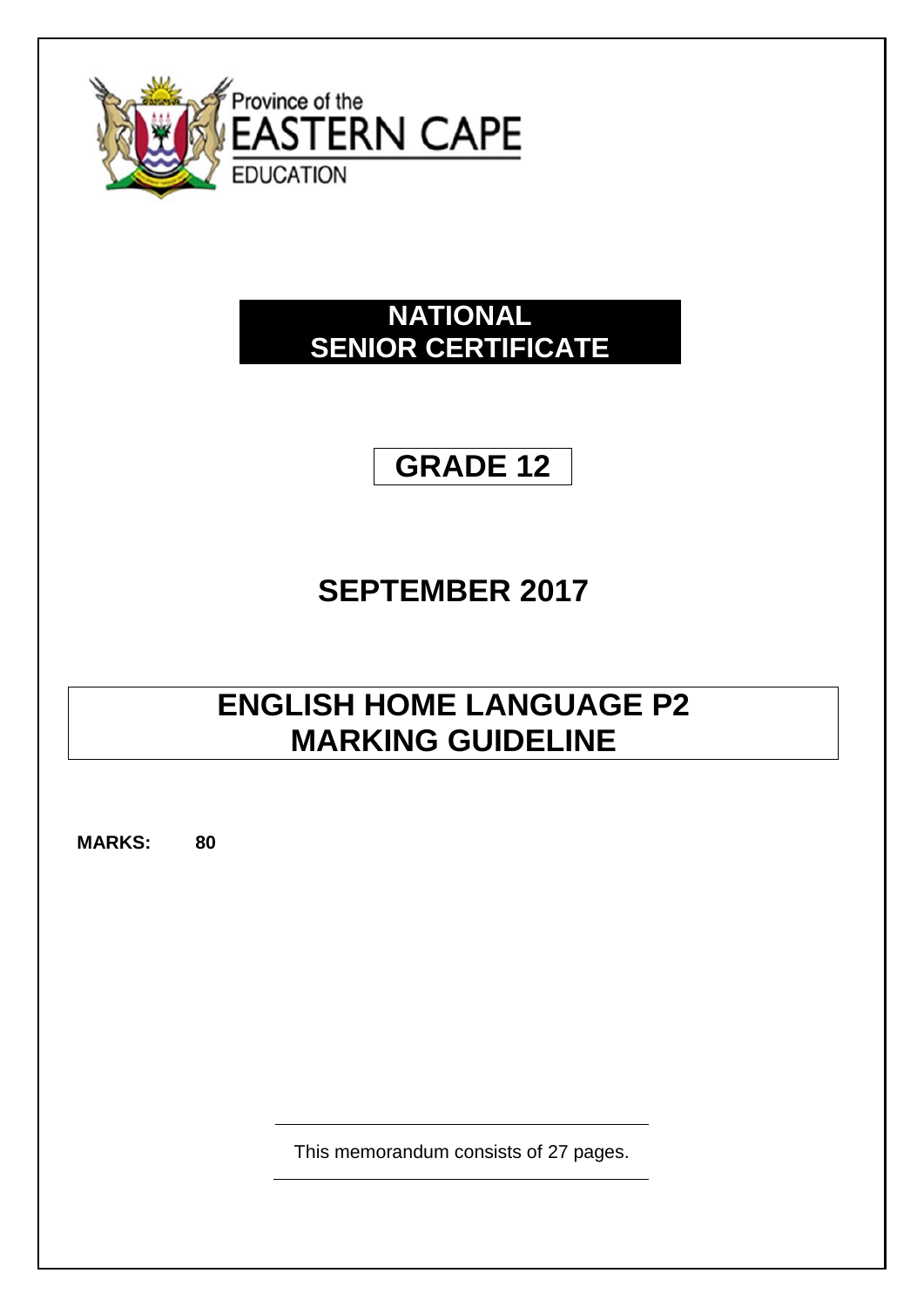

## **NATIONAL SENIOR CERTIFICATE**

## **GRADE 12**

# **SEPTEMBER 2017**

## **ENGLISH HOME LANGUAGE P2 MARKING GUIDELINE**

**MARKS: 80**

This memorandum consists of 27 pages.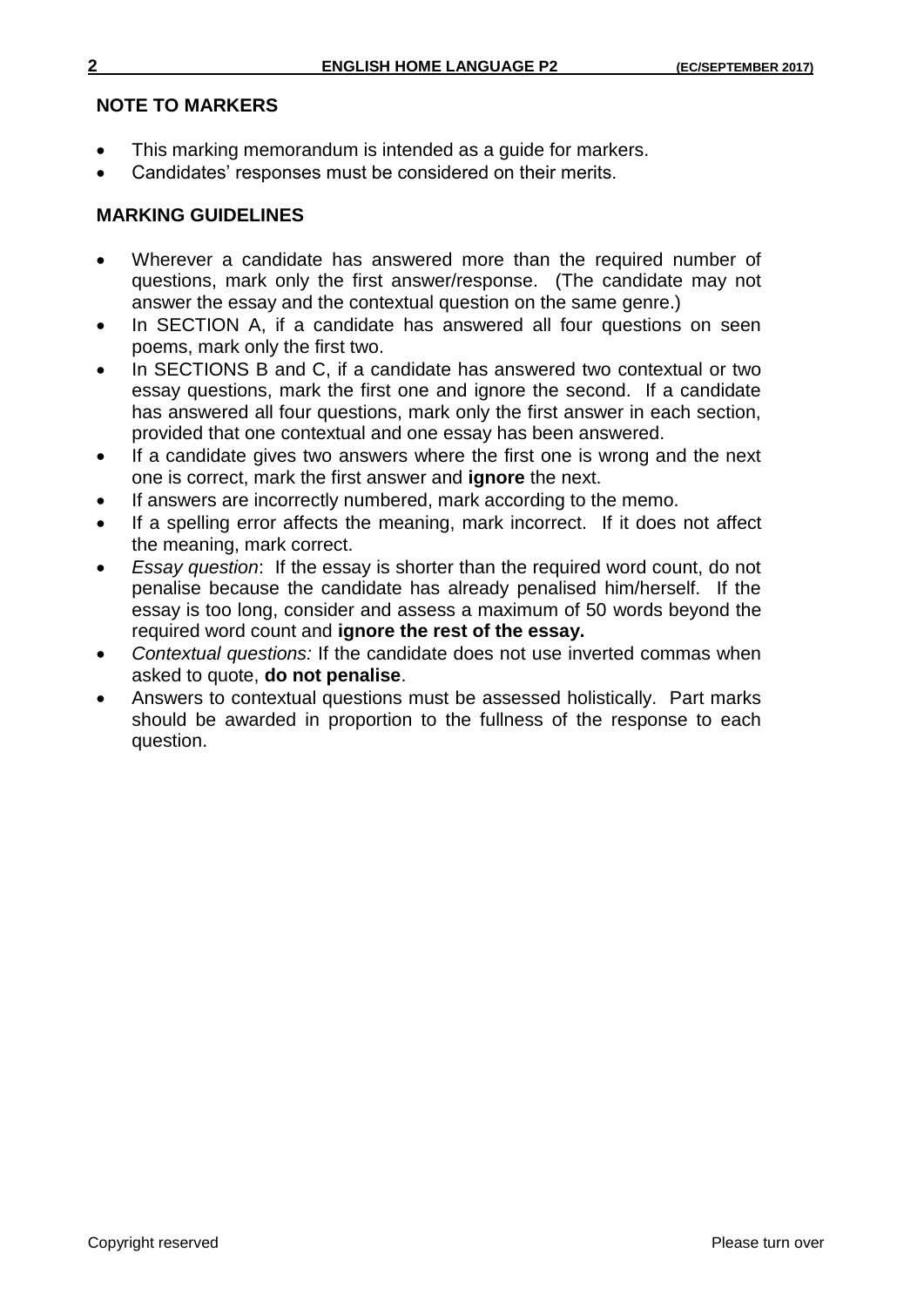### **NOTE TO MARKERS**

- This marking memorandum is intended as a guide for markers.
- Candidates' responses must be considered on their merits.

## **MARKING GUIDELINES**

- Wherever a candidate has answered more than the required number of questions, mark only the first answer/response. (The candidate may not answer the essay and the contextual question on the same genre.)
- In SECTION A, if a candidate has answered all four questions on seen poems, mark only the first two.
- In SECTIONS B and C, if a candidate has answered two contextual or two essay questions, mark the first one and ignore the second. If a candidate has answered all four questions, mark only the first answer in each section, provided that one contextual and one essay has been answered.
- If a candidate gives two answers where the first one is wrong and the next one is correct, mark the first answer and **ignore** the next.
- If answers are incorrectly numbered, mark according to the memo.
- If a spelling error affects the meaning, mark incorrect. If it does not affect the meaning, mark correct.
- *Essay question*: If the essay is shorter than the required word count, do not penalise because the candidate has already penalised him/herself. If the essay is too long, consider and assess a maximum of 50 words beyond the required word count and **ignore the rest of the essay.**
- *Contextual questions:* If the candidate does not use inverted commas when asked to quote, **do not penalise**.
- Answers to contextual questions must be assessed holistically. Part marks should be awarded in proportion to the fullness of the response to each question.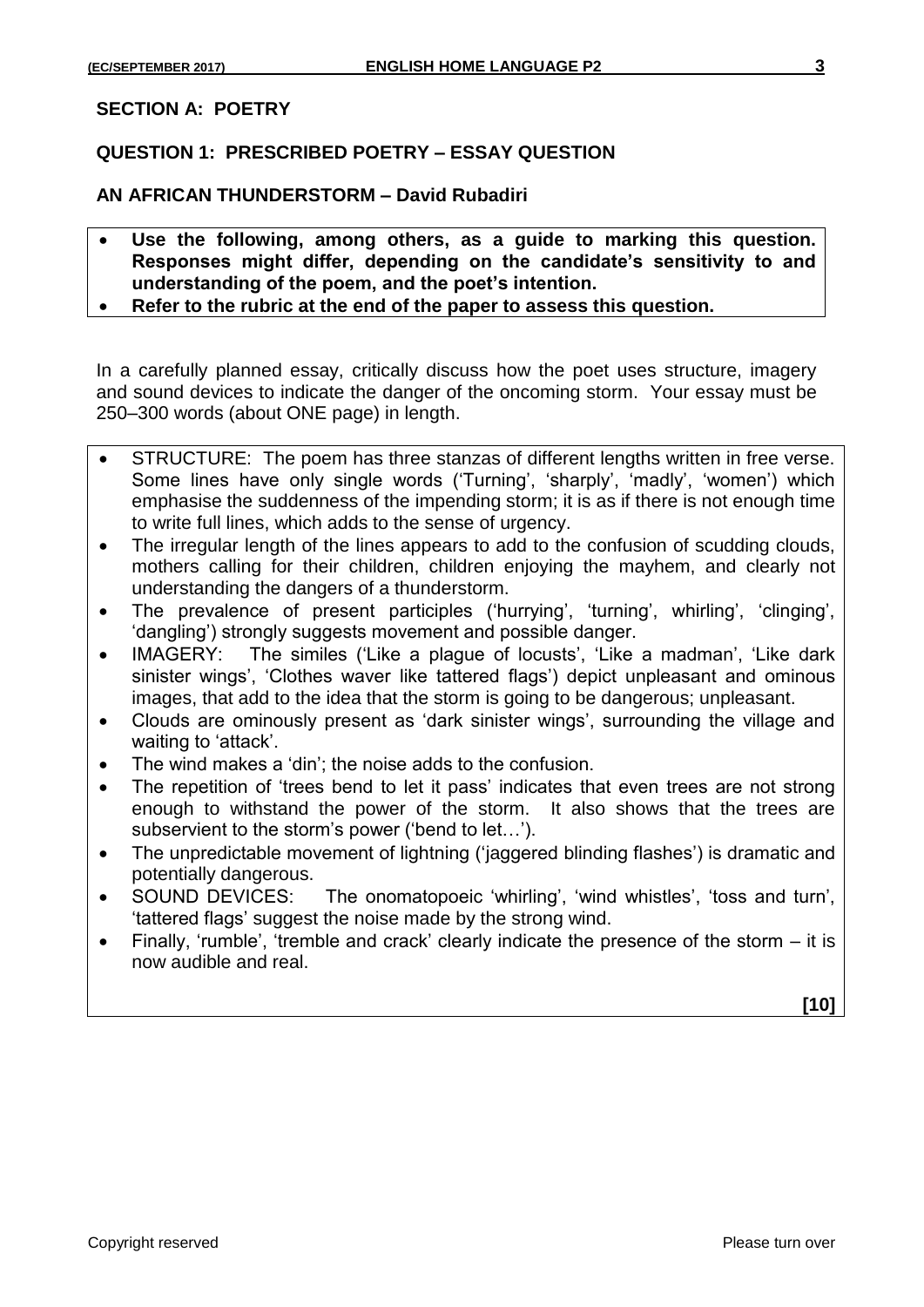#### **SECTION A: POETRY**

### **QUESTION 1: PRESCRIBED POETRY – ESSAY QUESTION**

**AN AFRICAN THUNDERSTORM – David Rubadiri**

- **Use the following, among others, as a guide to marking this question. Responses might differ, depending on the candidate's sensitivity to and understanding of the poem, and the poet's intention.**
- **Refer to the rubric at the end of the paper to assess this question.**

In a carefully planned essay, critically discuss how the poet uses structure, imagery and sound devices to indicate the danger of the oncoming storm. Your essay must be 250–300 words (about ONE page) in length.

- STRUCTURE: The poem has three stanzas of different lengths written in free verse. Some lines have only single words ('Turning', 'sharply', 'madly', 'women') which emphasise the suddenness of the impending storm; it is as if there is not enough time to write full lines, which adds to the sense of urgency.
- The irregular length of the lines appears to add to the confusion of scudding clouds, mothers calling for their children, children enjoying the mayhem, and clearly not understanding the dangers of a thunderstorm.
- The prevalence of present participles ('hurrying', 'turning', whirling', 'clinging', 'dangling') strongly suggests movement and possible danger.
- IMAGERY: The similes ('Like a plague of locusts', 'Like a madman', 'Like dark sinister wings', 'Clothes waver like tattered flags') depict unpleasant and ominous images, that add to the idea that the storm is going to be dangerous; unpleasant.
- Clouds are ominously present as 'dark sinister wings', surrounding the village and waiting to 'attack'.
- The wind makes a 'din'; the noise adds to the confusion.
- The repetition of 'trees bend to let it pass' indicates that even trees are not strong enough to withstand the power of the storm. It also shows that the trees are subservient to the storm's power ('bend to let…').
- The unpredictable movement of lightning ('jaggered blinding flashes') is dramatic and potentially dangerous.
- SOUND DEVICES: The onomatopoeic 'whirling', 'wind whistles', 'toss and turn', 'tattered flags' suggest the noise made by the strong wind.
- Finally, 'rumble', 'tremble and crack' clearly indicate the presence of the storm it is now audible and real.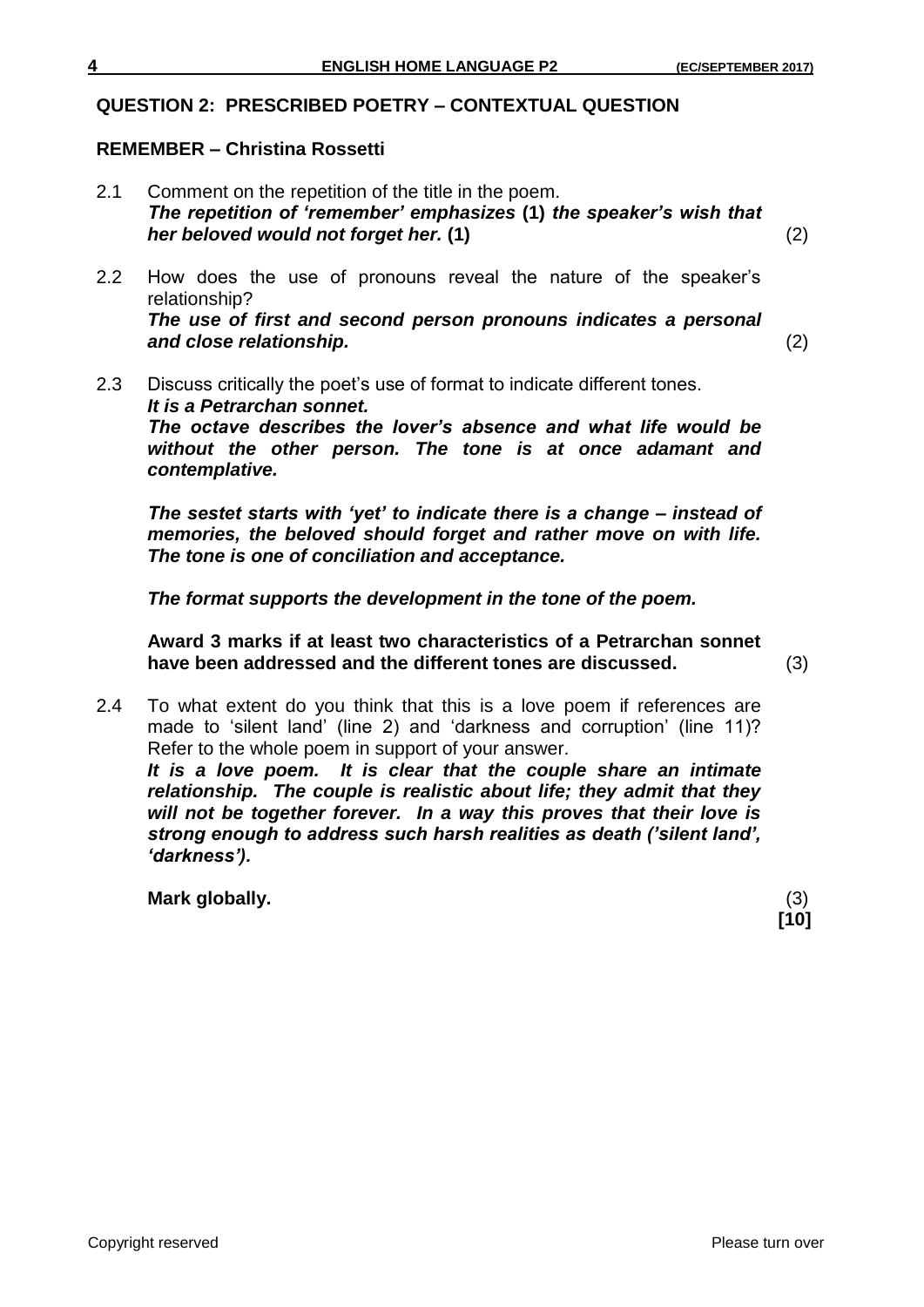## **QUESTION 2: PRESCRIBED POETRY – CONTEXTUAL QUESTION**

## **REMEMBER – Christina Rossetti**

2.1 Comment on the repetition of the title in the poem. *The repetition of 'remember' emphasizes* **(1)** *the speaker's wish that her beloved would not forget her.* **(1)** (2)

2.2 How does the use of pronouns reveal the nature of the speaker's relationship? *The use of first and second person pronouns indicates a personal and close relationship.* (2)

2.3 Discuss critically the poet's use of format to indicate different tones. *It is a Petrarchan sonnet. The octave describes the lover's absence and what life would be without the other person. The tone is at once adamant and contemplative.*

*The sestet starts with 'yet' to indicate there is a change – instead of memories, the beloved should forget and rather move on with life. The tone is one of conciliation and acceptance.*

*The format supports the development in the tone of the poem.*

**Award 3 marks if at least two characteristics of a Petrarchan sonnet have been addressed and the different tones are discussed.** (3)

2.4 To what extent do you think that this is a love poem if references are made to 'silent land' (line 2) and 'darkness and corruption' (line 11)? Refer to the whole poem in support of your answer. *It is a love poem. It is clear that the couple share an intimate relationship. The couple is realistic about life; they admit that they will not be together forever. In a way this proves that their love is strong enough to address such harsh realities as death ('silent land', 'darkness').* 

**Mark globally.** (3)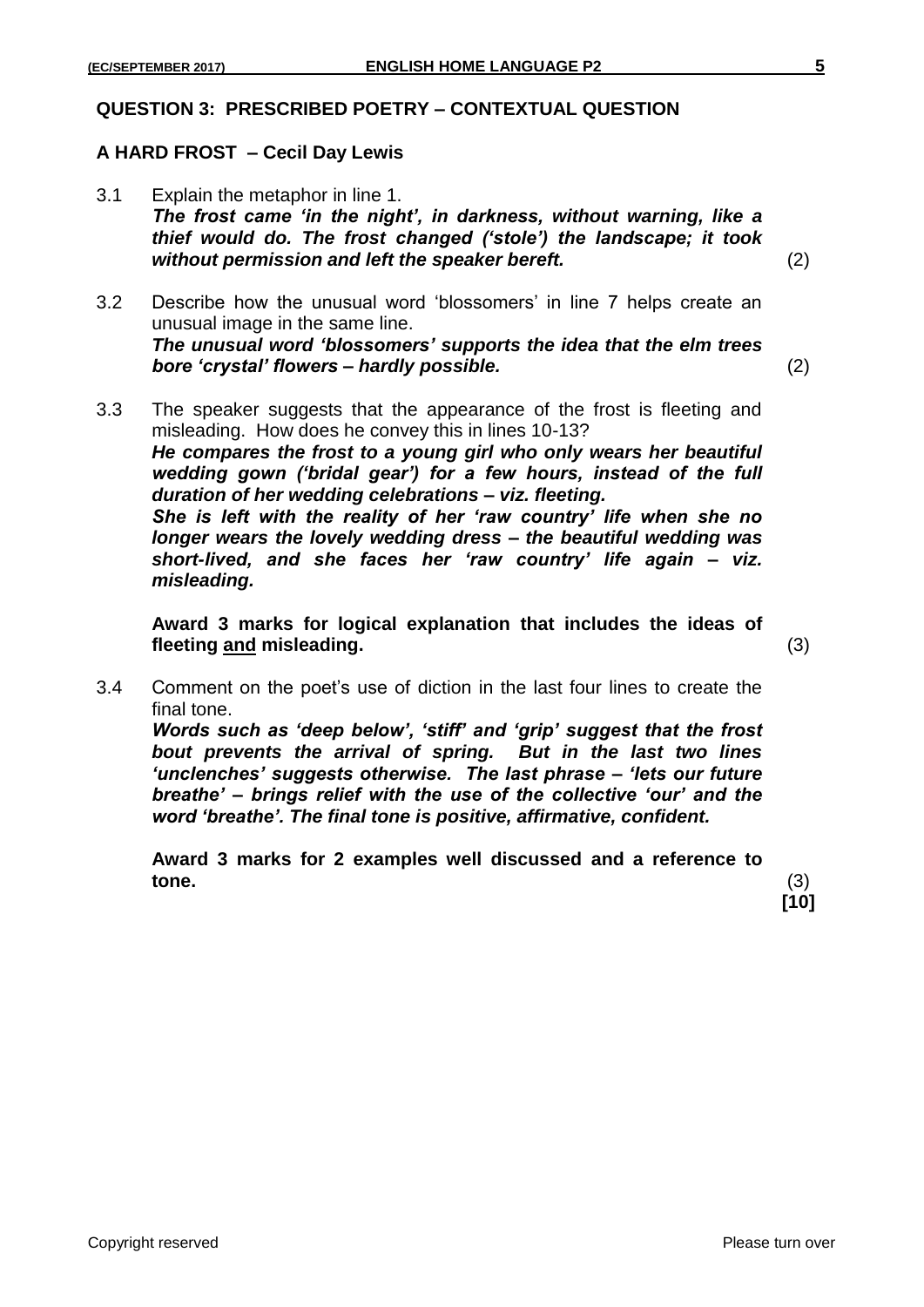#### **QUESTION 3: PRESCRIBED POETRY – CONTEXTUAL QUESTION**

### **A HARD FROST – Cecil Day Lewis**

3.1 Explain the metaphor in line 1. *The frost came 'in the night', in darkness, without warning, like a thief would do. The frost changed ('stole') the landscape; it took without permission and left the speaker bereft.* (2)

3.2 Describe how the unusual word 'blossomers' in line 7 helps create an unusual image in the same line. *The unusual word 'blossomers' supports the idea that the elm trees bore 'crystal' flowers – hardly possible.* (2)

3.3 The speaker suggests that the appearance of the frost is fleeting and misleading. How does he convey this in lines 10-13? *He compares the frost to a young girl who only wears her beautiful wedding gown ('bridal gear') for a few hours, instead of the full duration of her wedding celebrations – viz. fleeting. She is left with the reality of her 'raw country' life when she no longer wears the lovely wedding dress – the beautiful wedding was short-lived, and she faces her 'raw country' life again – viz. misleading.* 

**Award 3 marks for logical explanation that includes the ideas of fleeting and misleading.** (3)

3.4 Comment on the poet's use of diction in the last four lines to create the final tone.

*Words such as 'deep below', 'stiff' and 'grip' suggest that the frost bout prevents the arrival of spring. But in the last two lines 'unclenches' suggests otherwise. The last phrase – 'lets our future breathe' – brings relief with the use of the collective 'our' and the word 'breathe'. The final tone is positive, affirmative, confident.*

**Award 3 marks for 2 examples well discussed and a reference to tone.** (3)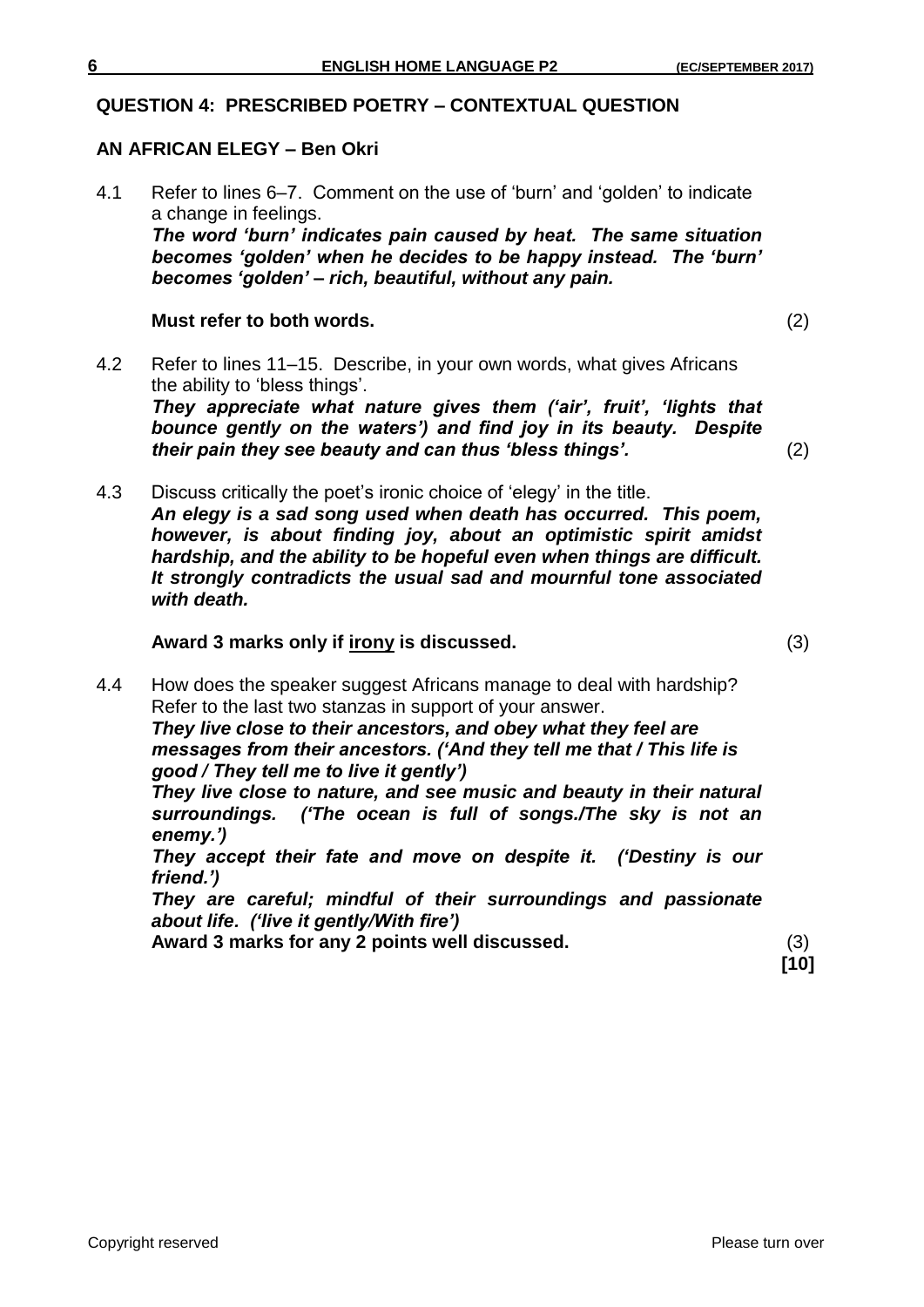## **QUESTION 4: PRESCRIBED POETRY – CONTEXTUAL QUESTION**

## **AN AFRICAN ELEGY – Ben Okri**

4.1 Refer to lines 6–7. Comment on the use of 'burn' and 'golden' to indicate a change in feelings. *The word 'burn' indicates pain caused by heat. The same situation becomes 'golden' when he decides to be happy instead. The 'burn' becomes 'golden' – rich, beautiful, without any pain.*

## **Must refer to both words.** (2)

4.2 Refer to lines 11–15. Describe, in your own words, what gives Africans the ability to 'bless things'.

*They appreciate what nature gives them ('air', fruit', 'lights that bounce gently on the waters') and find joy in its beauty. Despite their pain they see beauty and can thus 'bless things'.* (2)

4.3 Discuss critically the poet's ironic choice of 'elegy' in the title. *An elegy is a sad song used when death has occurred. This poem, however, is about finding joy, about an optimistic spirit amidst hardship, and the ability to be hopeful even when things are difficult. It strongly contradicts the usual sad and mournful tone associated with death.*

## **Award 3 marks only if irony is discussed.** (3)

4.4 How does the speaker suggest Africans manage to deal with hardship? Refer to the last two stanzas in support of your answer. *They live close to their ancestors, and obey what they feel are messages from their ancestors. ('And they tell me that / This life is good / They tell me to live it gently') They live close to nature, and see music and beauty in their natural surroundings. ('The ocean is full of songs./The sky is not an enemy.') They accept their fate and move on despite it. ('Destiny is our friend.') They are careful; mindful of their surroundings and passionate* 

*about life. ('live it gently/With fire')*

**Award 3 marks for any 2 points well discussed.** (3)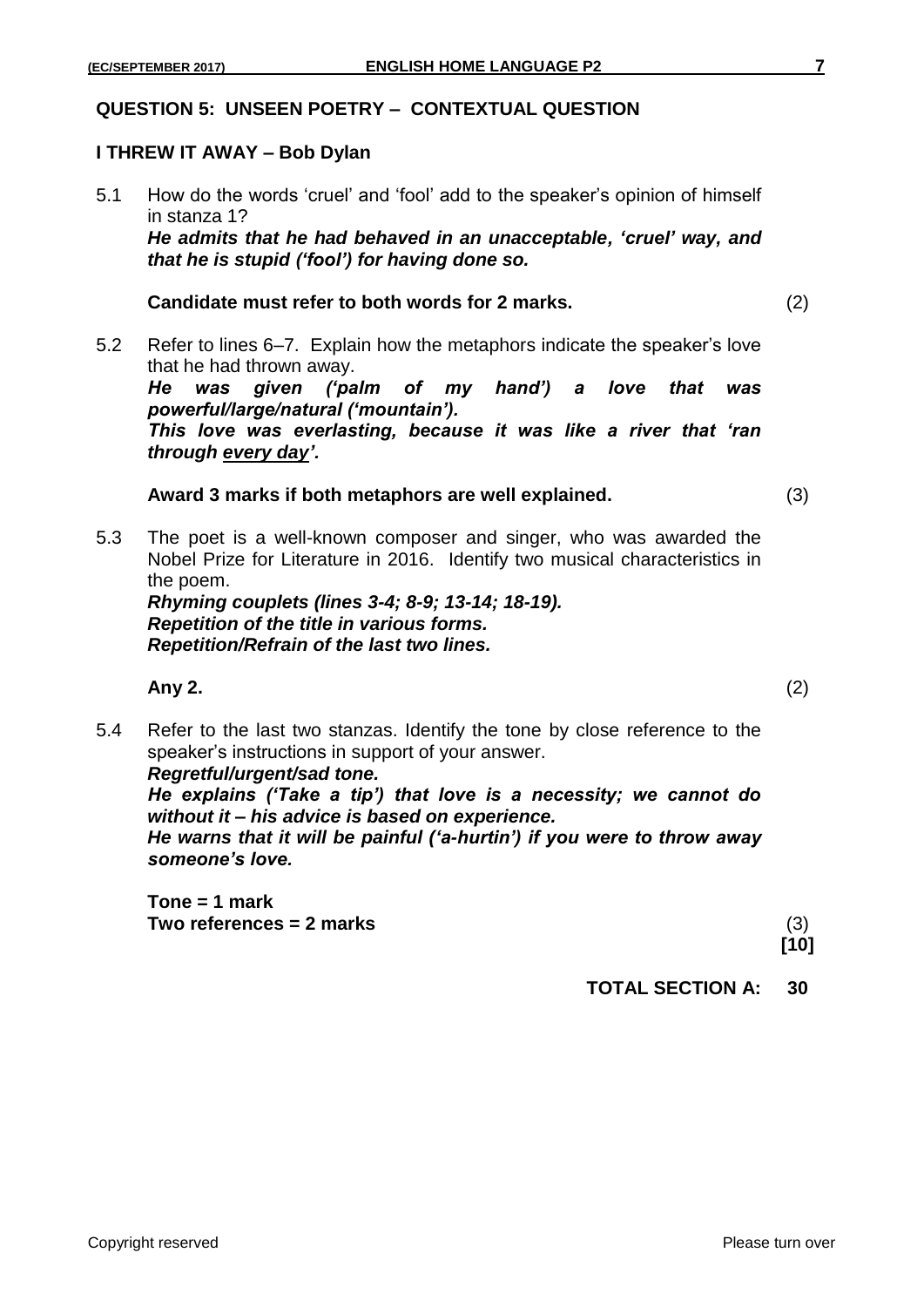#### **QUESTION 5: UNSEEN POETRY – CONTEXTUAL QUESTION**

## **I THREW IT AWAY – Bob Dylan**

5.1 How do the words 'cruel' and 'fool' add to the speaker's opinion of himself in stanza 1? *He admits that he had behaved in an unacceptable, 'cruel' way, and that he is stupid ('fool') for having done so.*

## **Candidate must refer to both words for 2 marks.** (2)

5.2 Refer to lines 6–7. Explain how the metaphors indicate the speaker's love that he had thrown away.

*He was given ('palm of my hand') a love that was powerful/large/natural ('mountain').* 

*This love was everlasting, because it was like a river that 'ran through every day'.*

## **Award 3 marks if both metaphors are well explained.** (3)

5.3 The poet is a well-known composer and singer, who was awarded the Nobel Prize for Literature in 2016. Identify two musical characteristics in the poem.

*Rhyming couplets (lines 3-4; 8-9; 13-14; 18-19). Repetition of the title in various forms. Repetition/Refrain of the last two lines.*

**Any 2.** (2)

5.4 Refer to the last two stanzas. Identify the tone by close reference to the speaker's instructions in support of your answer. *Regretful/urgent/sad tone.* 

*He explains ('Take a tip') that love is a necessity; we cannot do without it – his advice is based on experience.*

*He warns that it will be painful ('a-hurtin') if you were to throw away someone's love.*

**Tone = 1 mark Two references = 2 marks** (3)

**[10]**

**TOTAL SECTION A: 30**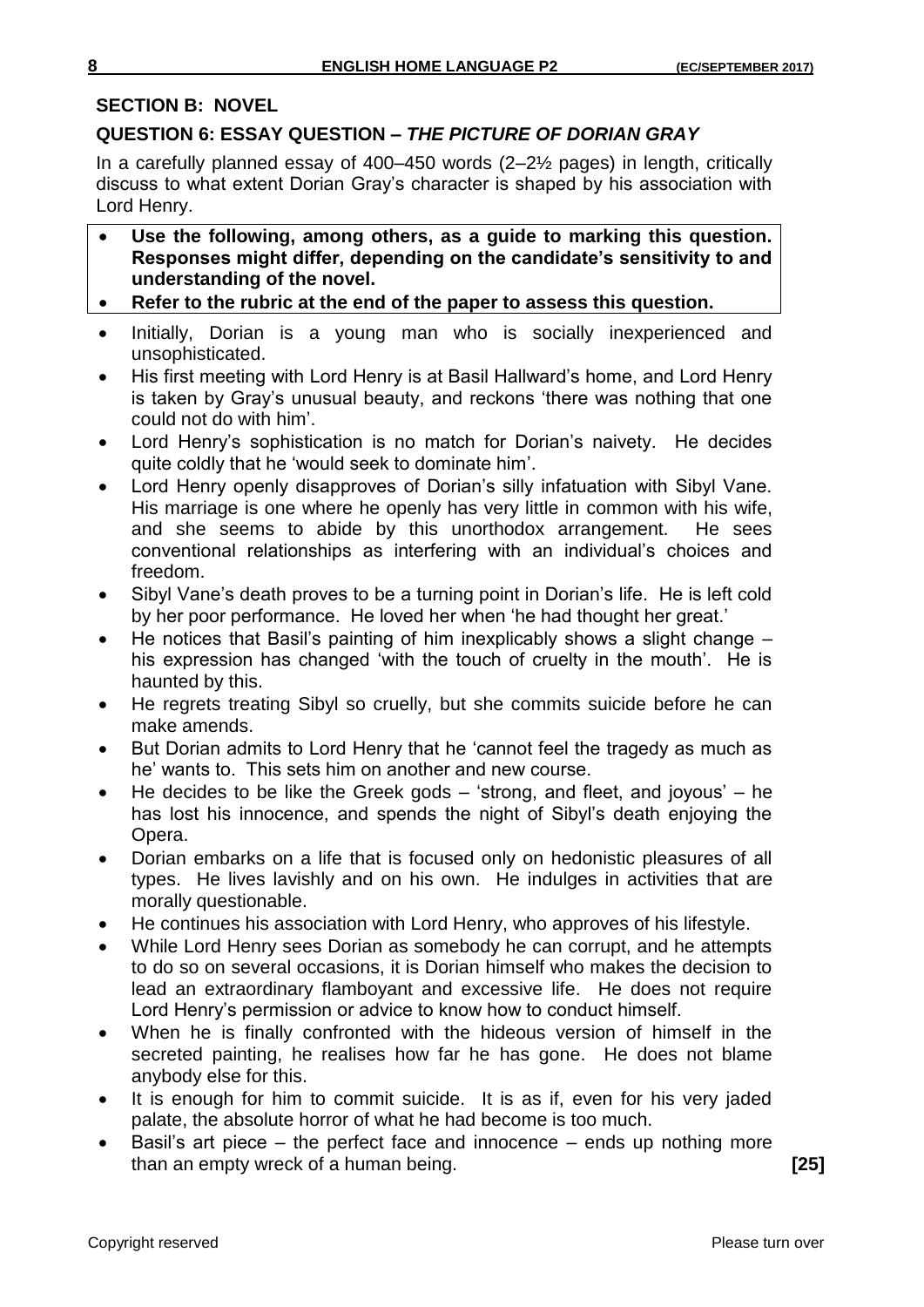### **SECTION B: NOVEL**

## **QUESTION 6: ESSAY QUESTION –** *THE PICTURE OF DORIAN GRAY*

In a carefully planned essay of 400–450 words (2–2½ pages) in length, critically discuss to what extent Dorian Gray's character is shaped by his association with Lord Henry.

- **Use the following, among others, as a guide to marking this question. Responses might differ, depending on the candidate's sensitivity to and understanding of the novel.**
- **Refer to the rubric at the end of the paper to assess this question.**
- Initially, Dorian is a young man who is socially inexperienced and unsophisticated.
- His first meeting with Lord Henry is at Basil Hallward's home, and Lord Henry is taken by Gray's unusual beauty, and reckons 'there was nothing that one could not do with him'.
- Lord Henry's sophistication is no match for Dorian's naivety. He decides quite coldly that he 'would seek to dominate him'.
- Lord Henry openly disapproves of Dorian's silly infatuation with Sibyl Vane. His marriage is one where he openly has very little in common with his wife, and she seems to abide by this unorthodox arrangement. He sees conventional relationships as interfering with an individual's choices and freedom.
- Sibyl Vane's death proves to be a turning point in Dorian's life. He is left cold by her poor performance. He loved her when 'he had thought her great.'
- He notices that Basil's painting of him inexplicably shows a slight change his expression has changed 'with the touch of cruelty in the mouth'. He is haunted by this.
- He regrets treating Sibyl so cruelly, but she commits suicide before he can make amends.
- But Dorian admits to Lord Henry that he 'cannot feel the tragedy as much as he' wants to. This sets him on another and new course.
- He decides to be like the Greek gods 'strong, and fleet, and joyous' he has lost his innocence, and spends the night of Sibyl's death enjoying the Opera.
- Dorian embarks on a life that is focused only on hedonistic pleasures of all types. He lives lavishly and on his own. He indulges in activities that are morally questionable.
- He continues his association with Lord Henry, who approves of his lifestyle.
- While Lord Henry sees Dorian as somebody he can corrupt, and he attempts to do so on several occasions, it is Dorian himself who makes the decision to lead an extraordinary flamboyant and excessive life. He does not require Lord Henry's permission or advice to know how to conduct himself.
- When he is finally confronted with the hideous version of himself in the secreted painting, he realises how far he has gone. He does not blame anybody else for this.
- It is enough for him to commit suicide. It is as if, even for his very jaded palate, the absolute horror of what he had become is too much.
- Basil's art piece the perfect face and innocence ends up nothing more than an empty wreck of a human being. **[25]**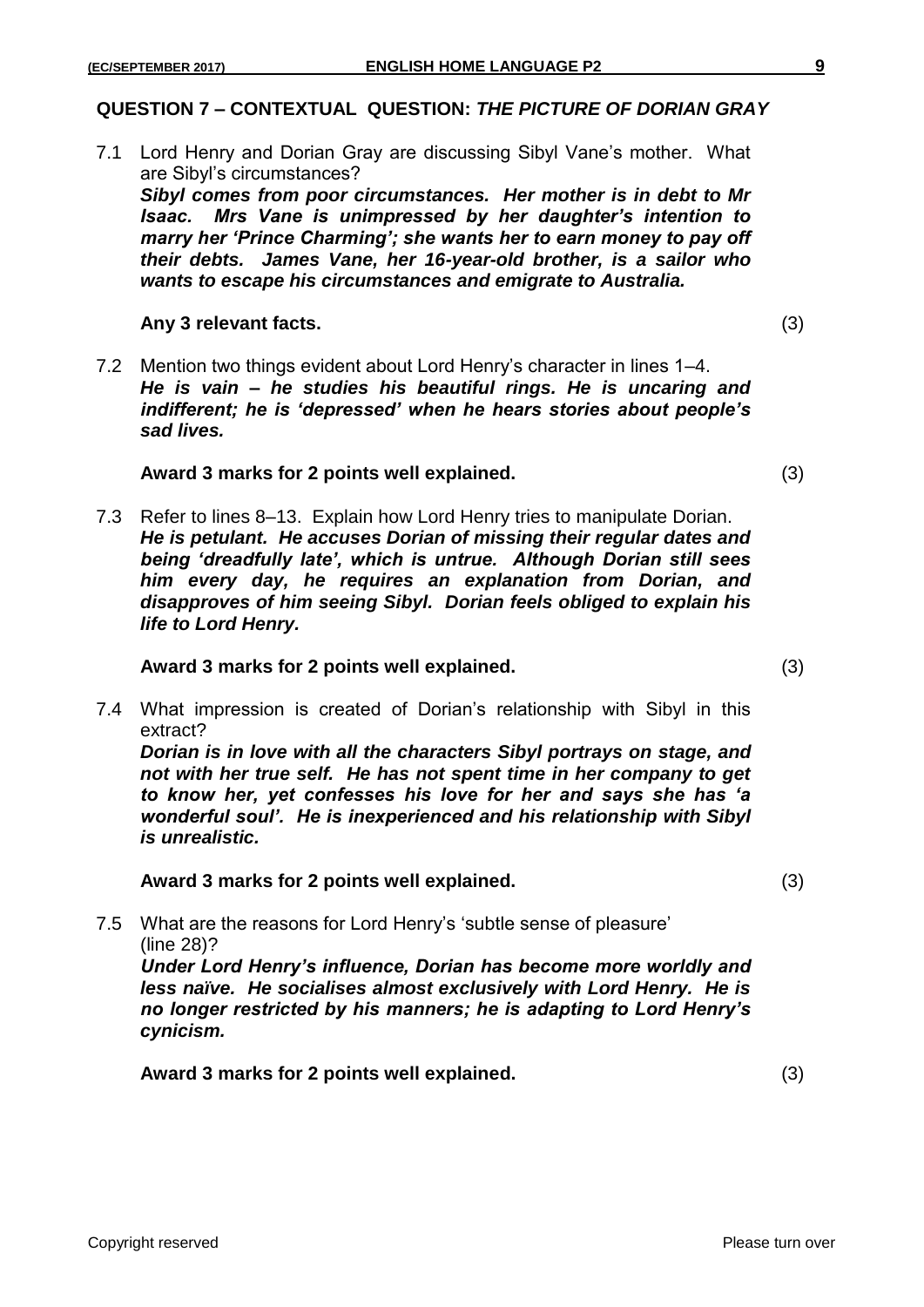#### **QUESTION 7 – CONTEXTUAL QUESTION:** *THE PICTURE OF DORIAN GRAY*

7.1 Lord Henry and Dorian Gray are discussing Sibyl Vane's mother. What are Sibyl's circumstances?

*Sibyl comes from poor circumstances. Her mother is in debt to Mr Isaac. Mrs Vane is unimpressed by her daughter's intention to marry her 'Prince Charming'; she wants her to earn money to pay off their debts. James Vane, her 16-year-old brother, is a sailor who wants to escape his circumstances and emigrate to Australia.*

#### **Any 3 relevant facts.** (3)

7.2 Mention two things evident about Lord Henry's character in lines 1–4. *He is vain – he studies his beautiful rings. He is uncaring and indifferent; he is 'depressed' when he hears stories about people's sad lives.* 

#### **Award 3 marks for 2 points well explained.** (3)

7.3 Refer to lines 8–13. Explain how Lord Henry tries to manipulate Dorian. *He is petulant. He accuses Dorian of missing their regular dates and being 'dreadfully late', which is untrue. Although Dorian still sees him every day, he requires an explanation from Dorian, and disapproves of him seeing Sibyl. Dorian feels obliged to explain his life to Lord Henry.*

#### **Award 3 marks for 2 points well explained.** (3)

7.4 What impression is created of Dorian's relationship with Sibyl in this extract? *Dorian is in love with all the characters Sibyl portrays on stage, and not with her true self. He has not spent time in her company to get to know her, yet confesses his love for her and says she has 'a wonderful soul'. He is inexperienced and his relationship with Sibyl is unrealistic.*

#### **Award 3 marks for 2 points well explained.** (3)

7.5 What are the reasons for Lord Henry's 'subtle sense of pleasure' (line 28)? *Under Lord Henry's influence, Dorian has become more worldly and less naïve. He socialises almost exclusively with Lord Henry. He is no longer restricted by his manners; he is adapting to Lord Henry's* 

**Award 3 marks for 2 points well explained.** (3)

*cynicism.*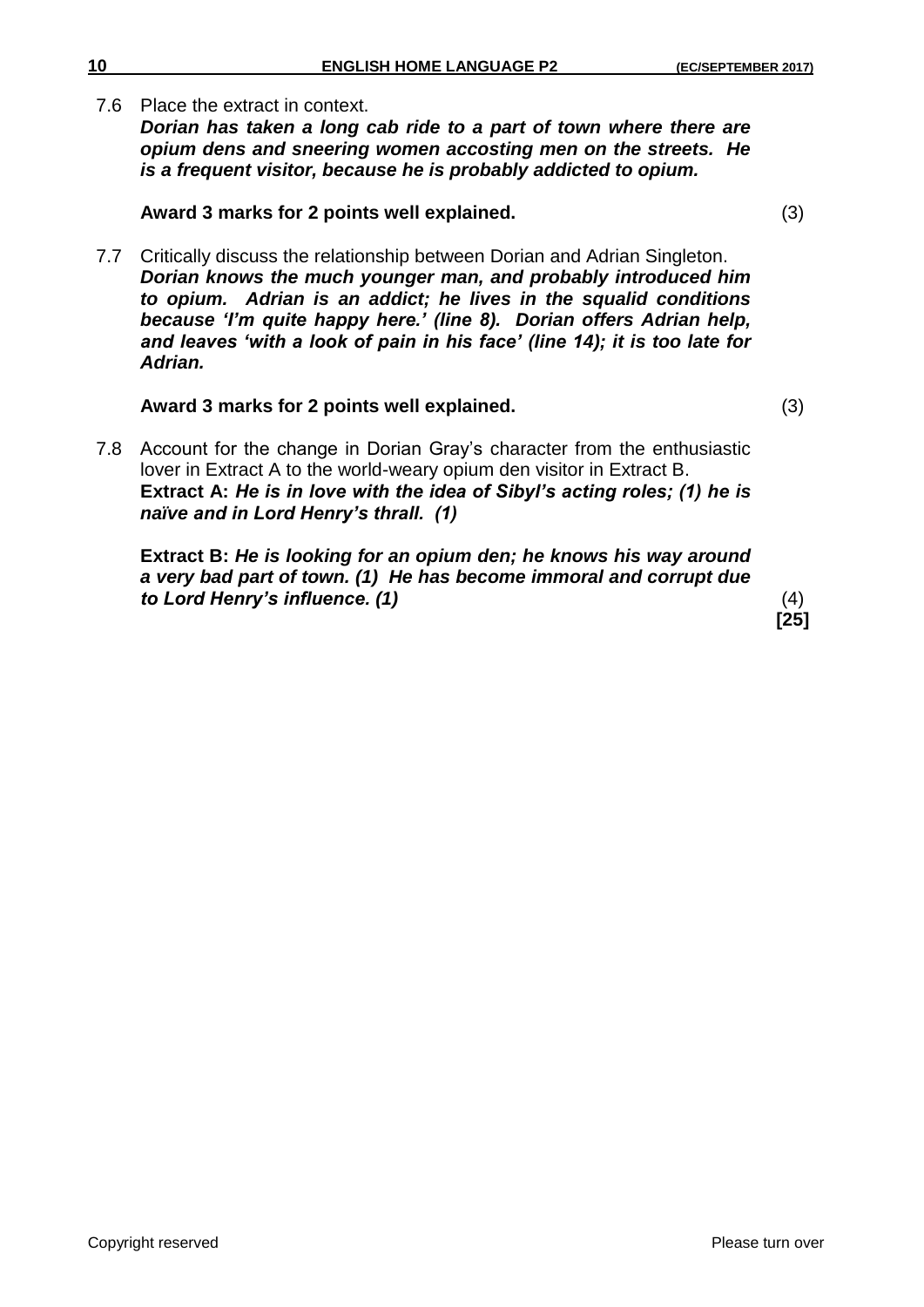7.6 Place the extract in context.

*Dorian has taken a long cab ride to a part of town where there are opium dens and sneering women accosting men on the streets. He is a frequent visitor, because he is probably addicted to opium.* 

## **Award 3 marks for 2 points well explained.** (3)

7.7 Critically discuss the relationship between Dorian and Adrian Singleton. *Dorian knows the much younger man, and probably introduced him to opium. Adrian is an addict; he lives in the squalid conditions because 'I'm quite happy here.' (line 8). Dorian offers Adrian help, and leaves 'with a look of pain in his face' (line 14); it is too late for Adrian.* 

## **Award 3 marks for 2 points well explained.** (3)

7.8 Account for the change in Dorian Gray's character from the enthusiastic lover in Extract A to the world-weary opium den visitor in Extract B. **Extract A:** *He is in love with the idea of Sibyl's acting roles; (1) he is naïve and in Lord Henry's thrall. (1)*

**Extract B:** *He is looking for an opium den; he knows his way around a very bad part of town. (1) He has become immoral and corrupt due to Lord Henry's influence. (1)* (4)

**[25]**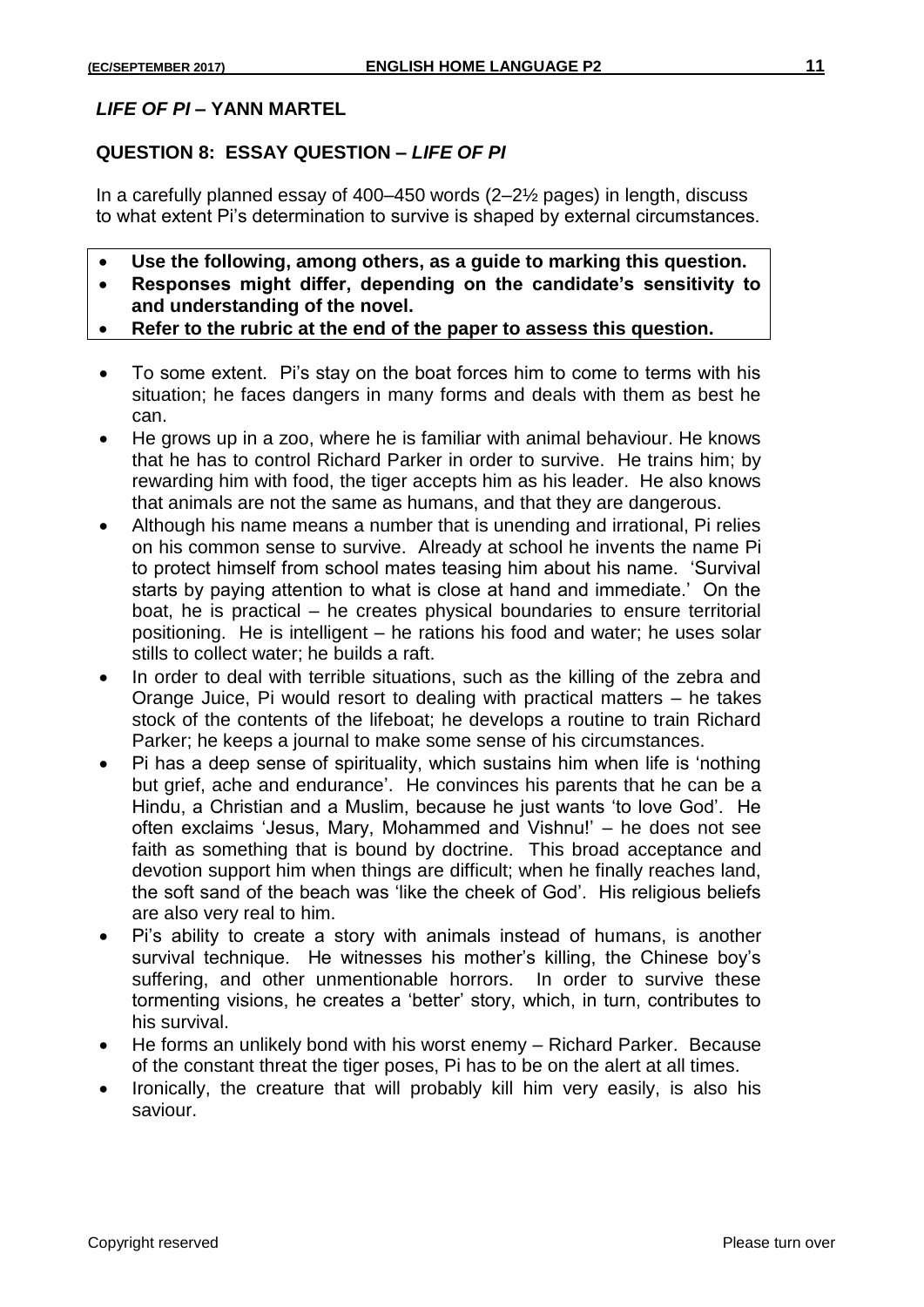## **QUESTION 8: ESSAY QUESTION –** *LIFE OF PI*

In a carefully planned essay of 400–450 words (2–2½ pages) in length, discuss to what extent Pi's determination to survive is shaped by external circumstances.

- **Use the following, among others, as a guide to marking this question.**
- **Responses might differ, depending on the candidate's sensitivity to and understanding of the novel.**
- **Refer to the rubric at the end of the paper to assess this question.**
- To some extent. Pi's stay on the boat forces him to come to terms with his situation; he faces dangers in many forms and deals with them as best he can.
- He grows up in a zoo, where he is familiar with animal behaviour. He knows that he has to control Richard Parker in order to survive. He trains him; by rewarding him with food, the tiger accepts him as his leader. He also knows that animals are not the same as humans, and that they are dangerous.
- Although his name means a number that is unending and irrational, Pi relies on his common sense to survive. Already at school he invents the name Pi to protect himself from school mates teasing him about his name. 'Survival starts by paying attention to what is close at hand and immediate.' On the boat, he is practical – he creates physical boundaries to ensure territorial positioning. He is intelligent – he rations his food and water; he uses solar stills to collect water; he builds a raft.
- In order to deal with terrible situations, such as the killing of the zebra and Orange Juice, Pi would resort to dealing with practical matters – he takes stock of the contents of the lifeboat; he develops a routine to train Richard Parker; he keeps a journal to make some sense of his circumstances.
- Pi has a deep sense of spirituality, which sustains him when life is 'nothing but grief, ache and endurance'. He convinces his parents that he can be a Hindu, a Christian and a Muslim, because he just wants 'to love God'. He often exclaims 'Jesus, Mary, Mohammed and Vishnu!' – he does not see faith as something that is bound by doctrine. This broad acceptance and devotion support him when things are difficult; when he finally reaches land, the soft sand of the beach was 'like the cheek of God'. His religious beliefs are also very real to him.
- Pi's ability to create a story with animals instead of humans, is another survival technique. He witnesses his mother's killing, the Chinese boy's suffering, and other unmentionable horrors. In order to survive these tormenting visions, he creates a 'better' story, which, in turn, contributes to his survival.
- He forms an unlikely bond with his worst enemy Richard Parker. Because of the constant threat the tiger poses, Pi has to be on the alert at all times.
- Ironically, the creature that will probably kill him very easily, is also his saviour.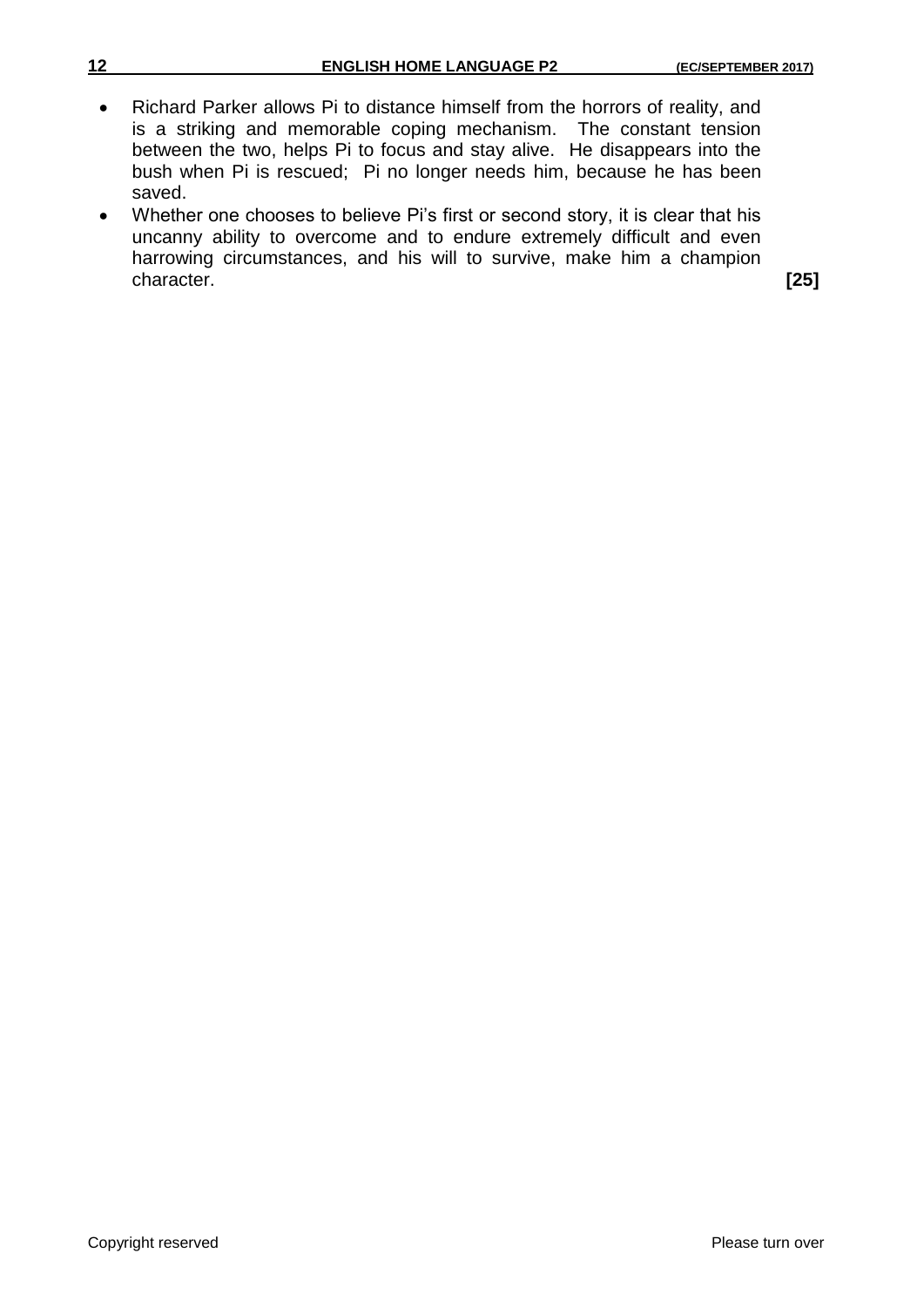| 12        | <b>ENGLISH HOME LANGUAGE P2</b>                                                                                                                                                                                                                                                                                    | (EC/SEPTEMBER 2017) |
|-----------|--------------------------------------------------------------------------------------------------------------------------------------------------------------------------------------------------------------------------------------------------------------------------------------------------------------------|---------------------|
| $\bullet$ | Richard Parker allows Pi to distance himself from the horrors of reality, and<br>is a striking and memorable coping mechanism. The constant tension<br>between the two, helps Pi to focus and stay alive. He disappears into the<br>bush when Pi is rescued; Pi no longer needs him, because he has been<br>saved. |                     |
| $\bullet$ | Whether one chooses to believe Pi's first or second story, it is clear that his<br>uncanny ability to overcome and to endure extremely difficult and even<br>harrowing circumstances, and his will to survive, make him a champion                                                                                 |                     |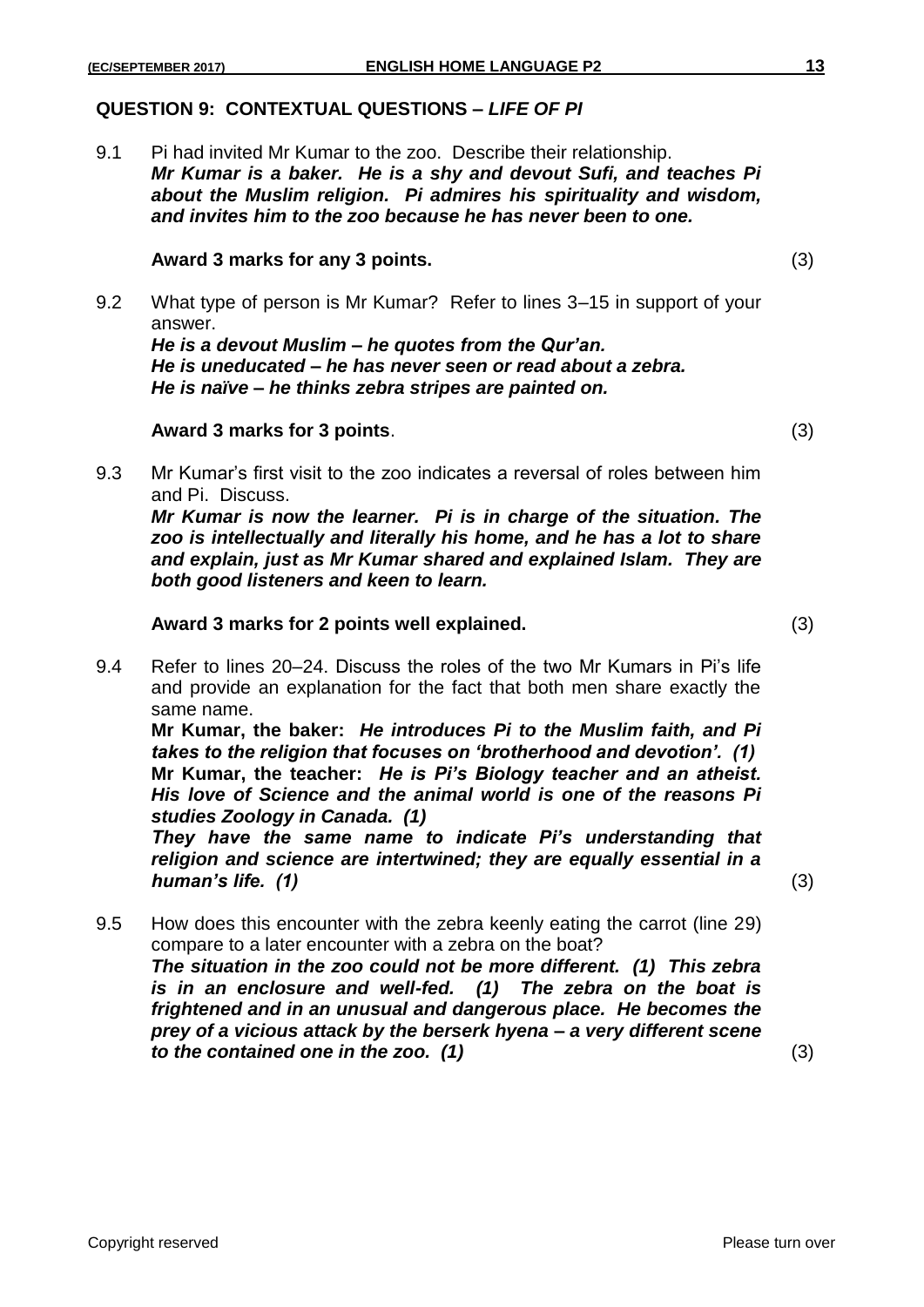### **QUESTION 9: CONTEXTUAL QUESTIONS –** *LIFE OF PI*

9.1 Pi had invited Mr Kumar to the zoo. Describe their relationship. *Mr Kumar is a baker. He is a shy and devout Sufi, and teaches Pi about the Muslim religion. Pi admires his spirituality and wisdom, and invites him to the zoo because he has never been to one.*

#### **Award 3 marks for any 3 points.** (3)

9.2 What type of person is Mr Kumar? Refer to lines 3–15 in support of your answer.

*He is a devout Muslim – he quotes from the Qur'an. He is uneducated – he has never seen or read about a zebra. He is naïve – he thinks zebra stripes are painted on.*

#### **Award 3 marks for 3 points**. (3)

9.3 Mr Kumar's first visit to the zoo indicates a reversal of roles between him and Pi. Discuss.

*Mr Kumar is now the learner. Pi is in charge of the situation. The zoo is intellectually and literally his home, and he has a lot to share and explain, just as Mr Kumar shared and explained Islam. They are both good listeners and keen to learn.*

#### **Award 3 marks for 2 points well explained.** (3)

9.4 Refer to lines 20–24. Discuss the roles of the two Mr Kumars in Pi's life and provide an explanation for the fact that both men share exactly the same name.

**Mr Kumar, the baker:** *He introduces Pi to the Muslim faith, and Pi takes to the religion that focuses on 'brotherhood and devotion'. (1)* **Mr Kumar, the teacher:** *He is Pi's Biology teacher and an atheist. His love of Science and the animal world is one of the reasons Pi studies Zoology in Canada. (1)*

*They have the same name to indicate Pi's understanding that religion and science are intertwined; they are equally essential in a human's life. (1)* (3)

9.5 How does this encounter with the zebra keenly eating the carrot (line 29) compare to a later encounter with a zebra on the boat? *The situation in the zoo could not be more different. (1) This zebra is in an enclosure and well-fed. (1) The zebra on the boat is frightened and in an unusual and dangerous place. He becomes the prey of a vicious attack by the berserk hyena – a very different scene to the contained one in the zoo. (1)* (3)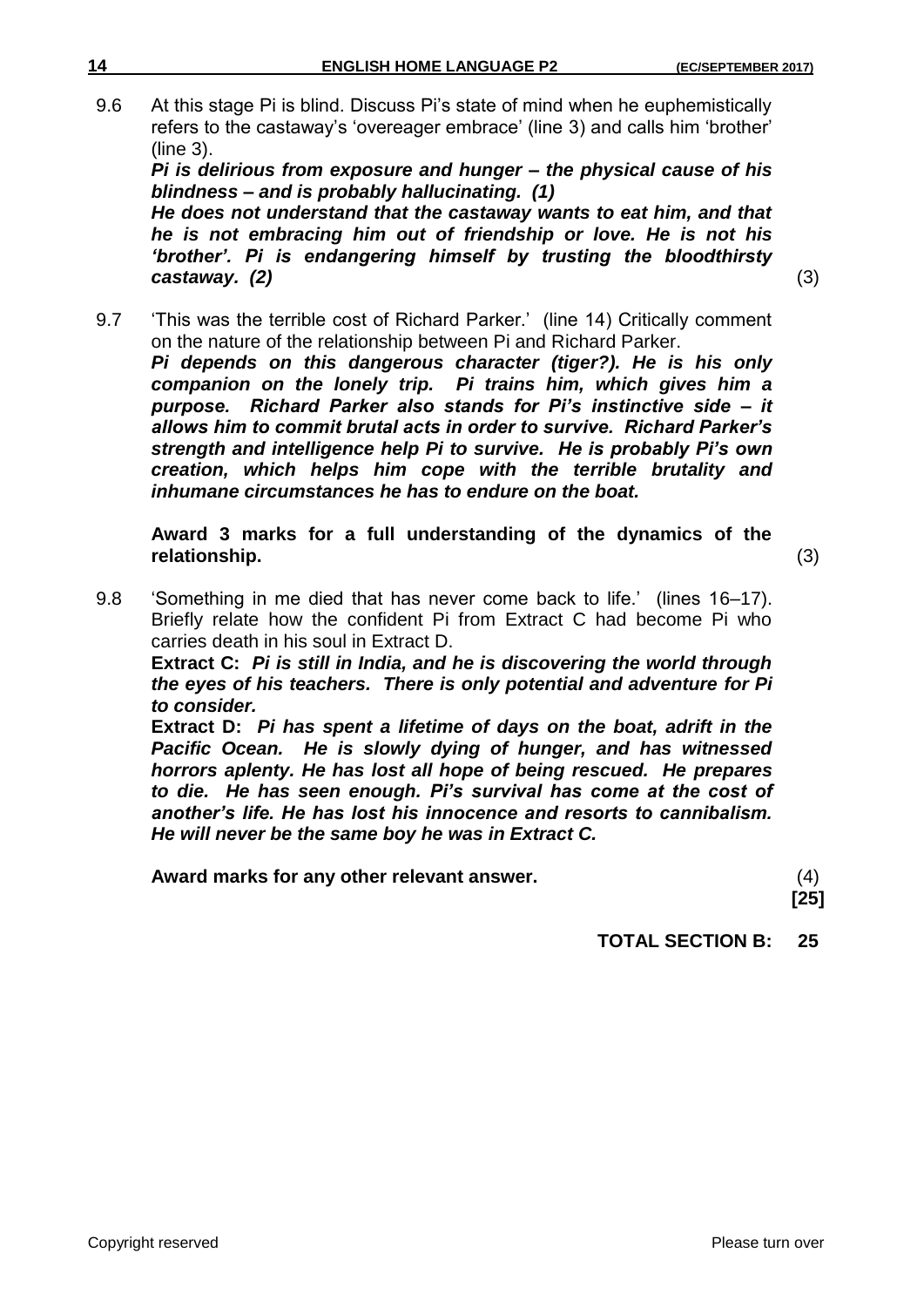9.6 At this stage Pi is blind. Discuss Pi's state of mind when he euphemistically refers to the castaway's 'overeager embrace' (line 3) and calls him 'brother' (line 3).

*Pi is delirious from exposure and hunger – the physical cause of his blindness – and is probably hallucinating. (1)*

*He does not understand that the castaway wants to eat him, and that he is not embracing him out of friendship or love. He is not his 'brother'. Pi is endangering himself by trusting the bloodthirsty castaway. (2)* (3)

9.7 'This was the terrible cost of Richard Parker.' (line 14) Critically comment on the nature of the relationship between Pi and Richard Parker. *Pi depends on this dangerous character (tiger?). He is his only companion on the lonely trip. Pi trains him, which gives him a purpose. Richard Parker also stands for Pi's instinctive side – it allows him to commit brutal acts in order to survive. Richard Parker's strength and intelligence help Pi to survive. He is probably Pi's own creation, which helps him cope with the terrible brutality and inhumane circumstances he has to endure on the boat.*

**Award 3 marks for a full understanding of the dynamics of the relationship.** (3)

9.8 'Something in me died that has never come back to life.' (lines 16–17). Briefly relate how the confident Pi from Extract C had become Pi who carries death in his soul in Extract D.

**Extract C:** *Pi is still in India, and he is discovering the world through the eyes of his teachers. There is only potential and adventure for Pi to consider.*

**Extract D:** *Pi has spent a lifetime of days on the boat, adrift in the Pacific Ocean. He is slowly dying of hunger, and has witnessed horrors aplenty. He has lost all hope of being rescued. He prepares to die. He has seen enough. Pi's survival has come at the cost of another's life. He has lost his innocence and resorts to cannibalism. He will never be the same boy he was in Extract C.*

**Award marks for any other relevant answer.** (4)

**[25]**

**TOTAL SECTION B: 25**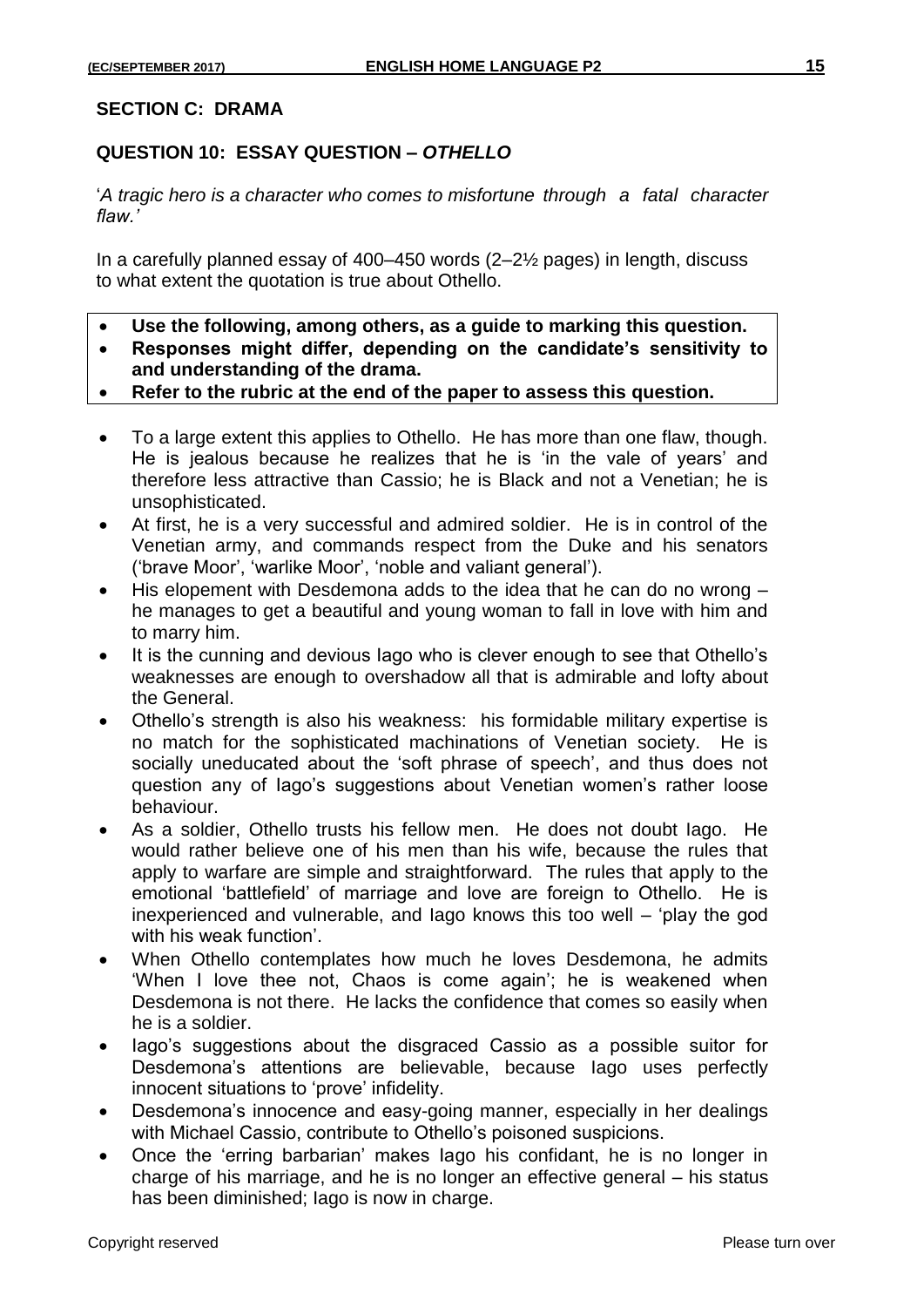## **QUESTION 10: ESSAY QUESTION –** *OTHELLO*

'*A tragic hero is a character who comes to misfortune through a fatal character flaw.'*

In a carefully planned essay of 400–450 words (2–2½ pages) in length, discuss to what extent the quotation is true about Othello.

- **Use the following, among others, as a guide to marking this question.**
- **Responses might differ, depending on the candidate's sensitivity to and understanding of the drama.**
- **Refer to the rubric at the end of the paper to assess this question.**
- To a large extent this applies to Othello. He has more than one flaw, though. He is jealous because he realizes that he is 'in the vale of years' and therefore less attractive than Cassio; he is Black and not a Venetian; he is unsophisticated.
- At first, he is a very successful and admired soldier. He is in control of the Venetian army, and commands respect from the Duke and his senators ('brave Moor', 'warlike Moor', 'noble and valiant general').
- His elopement with Desdemona adds to the idea that he can do no wrong he manages to get a beautiful and young woman to fall in love with him and to marry him.
- It is the cunning and devious lago who is clever enough to see that Othello's weaknesses are enough to overshadow all that is admirable and lofty about the General.
- Othello's strength is also his weakness: his formidable military expertise is no match for the sophisticated machinations of Venetian society. He is socially uneducated about the 'soft phrase of speech', and thus does not question any of Iago's suggestions about Venetian women's rather loose behaviour.
- As a soldier, Othello trusts his fellow men. He does not doubt Iago. He would rather believe one of his men than his wife, because the rules that apply to warfare are simple and straightforward. The rules that apply to the emotional 'battlefield' of marriage and love are foreign to Othello. He is inexperienced and vulnerable, and Iago knows this too well – 'play the god with his weak function'.
- When Othello contemplates how much he loves Desdemona, he admits 'When I love thee not, Chaos is come again'; he is weakened when Desdemona is not there. He lacks the confidence that comes so easily when he is a soldier.
- lago's suggestions about the disgraced Cassio as a possible suitor for Desdemona's attentions are believable, because Iago uses perfectly innocent situations to 'prove' infidelity.
- Desdemona's innocence and easy-going manner, especially in her dealings with Michael Cassio, contribute to Othello's poisoned suspicions.
- Once the 'erring barbarian' makes Iago his confidant, he is no longer in charge of his marriage, and he is no longer an effective general – his status has been diminished; Iago is now in charge.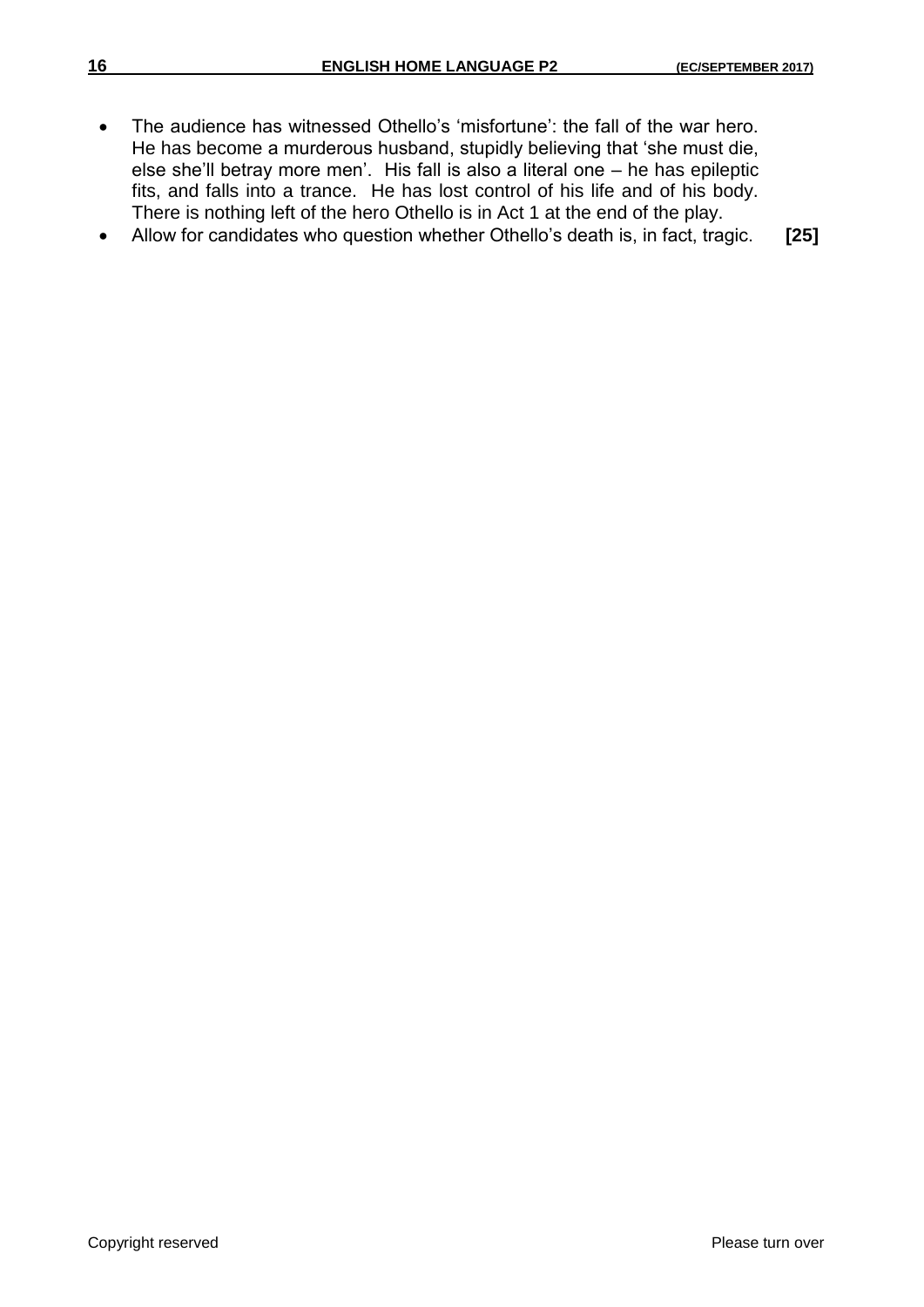- The audience has witnessed Othello's 'misfortune': the fall of the war hero. He has become a murderous husband, stupidly believing that 'she must die, else she'll betray more men'. His fall is also a literal one – he has epileptic fits, and falls into a trance. He has lost control of his life and of his body. There is nothing left of the hero Othello is in Act 1 at the end of the play.
- Allow for candidates who question whether Othello's death is, in fact, tragic. **[25]**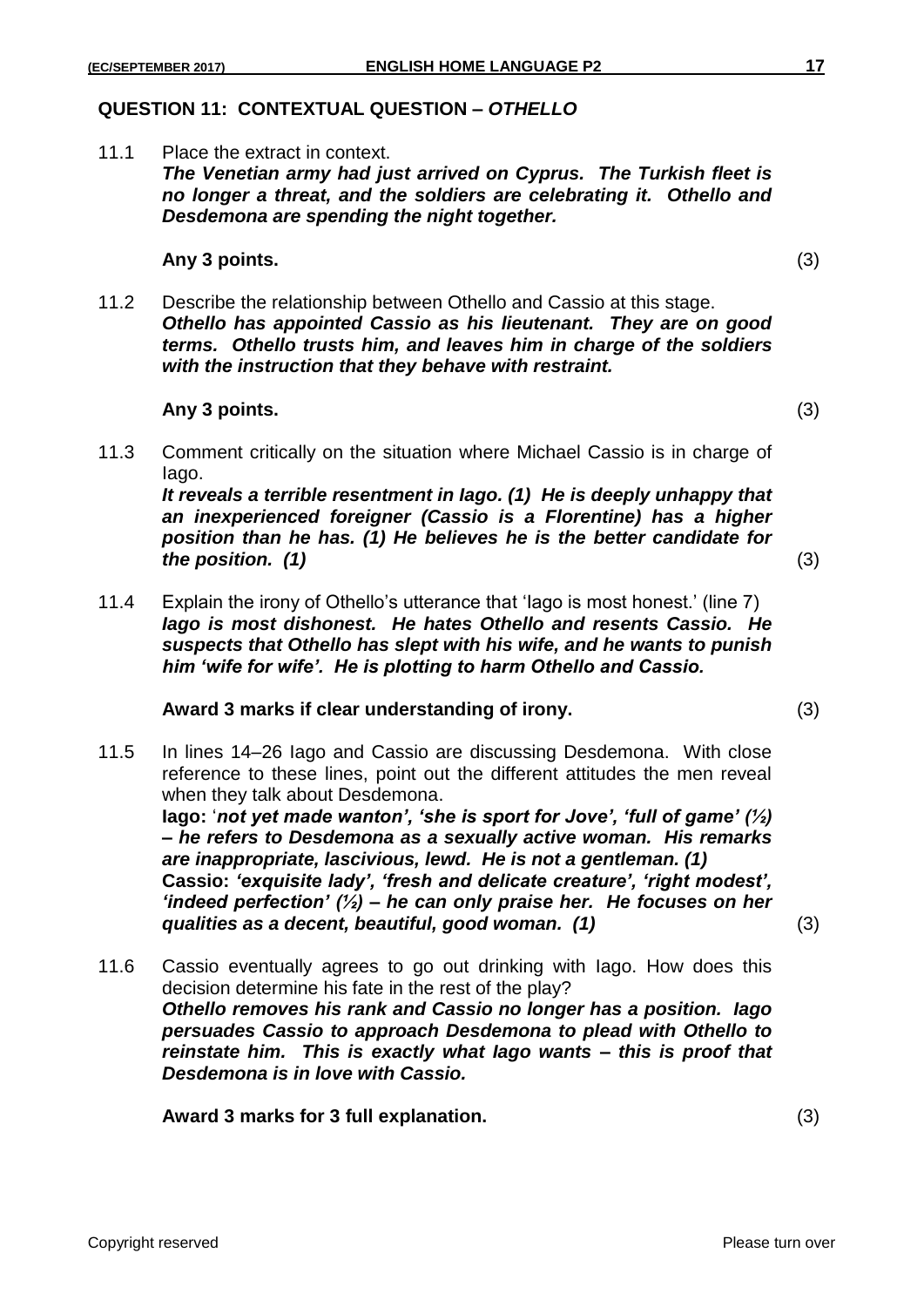### **QUESTION 11: CONTEXTUAL QUESTION –** *OTHELLO*

11.1 Place the extract in context. *The Venetian army had just arrived on Cyprus. The Turkish fleet is no longer a threat, and the soldiers are celebrating it. Othello and Desdemona are spending the night together.*

#### **Any 3 points.** (3)

11.2 Describe the relationship between Othello and Cassio at this stage. *Othello has appointed Cassio as his lieutenant. They are on good terms. Othello trusts him, and leaves him in charge of the soldiers with the instruction that they behave with restraint.*

#### **Any 3 points.** (3)

11.3 Comment critically on the situation where Michael Cassio is in charge of Iago.

*It reveals a terrible resentment in Iago. (1) He is deeply unhappy that an inexperienced foreigner (Cassio is a Florentine) has a higher position than he has. (1) He believes he is the better candidate for the position. (1)* (3)

11.4 Explain the irony of Othello's utterance that 'Iago is most honest.' (line 7) *Iago is most dishonest. He hates Othello and resents Cassio. He suspects that Othello has slept with his wife, and he wants to punish him 'wife for wife'. He is plotting to harm Othello and Cassio.*

#### **Award 3 marks if clear understanding of irony.** (3)

11.5 In lines 14–26 Iago and Cassio are discussing Desdemona. With close reference to these lines, point out the different attitudes the men reveal when they talk about Desdemona.

**Iago:** '*not yet made wanton', 'she is sport for Jove', 'full of game' (½) – he refers to Desdemona as a sexually active woman. His remarks are inappropriate, lascivious, lewd. He is not a gentleman. (1)* **Cassio:** *'exquisite lady', 'fresh and delicate creature', 'right modest', 'indeed perfection' (½) – he can only praise her. He focuses on her qualities as a decent, beautiful, good woman. (1)* (3)

11.6 Cassio eventually agrees to go out drinking with Iago. How does this decision determine his fate in the rest of the play? *Othello removes his rank and Cassio no longer has a position. Iago persuades Cassio to approach Desdemona to plead with Othello to reinstate him. This is exactly what Iago wants – this is proof that Desdemona is in love with Cassio.* 

**Award 3 marks for 3 full explanation.** (3)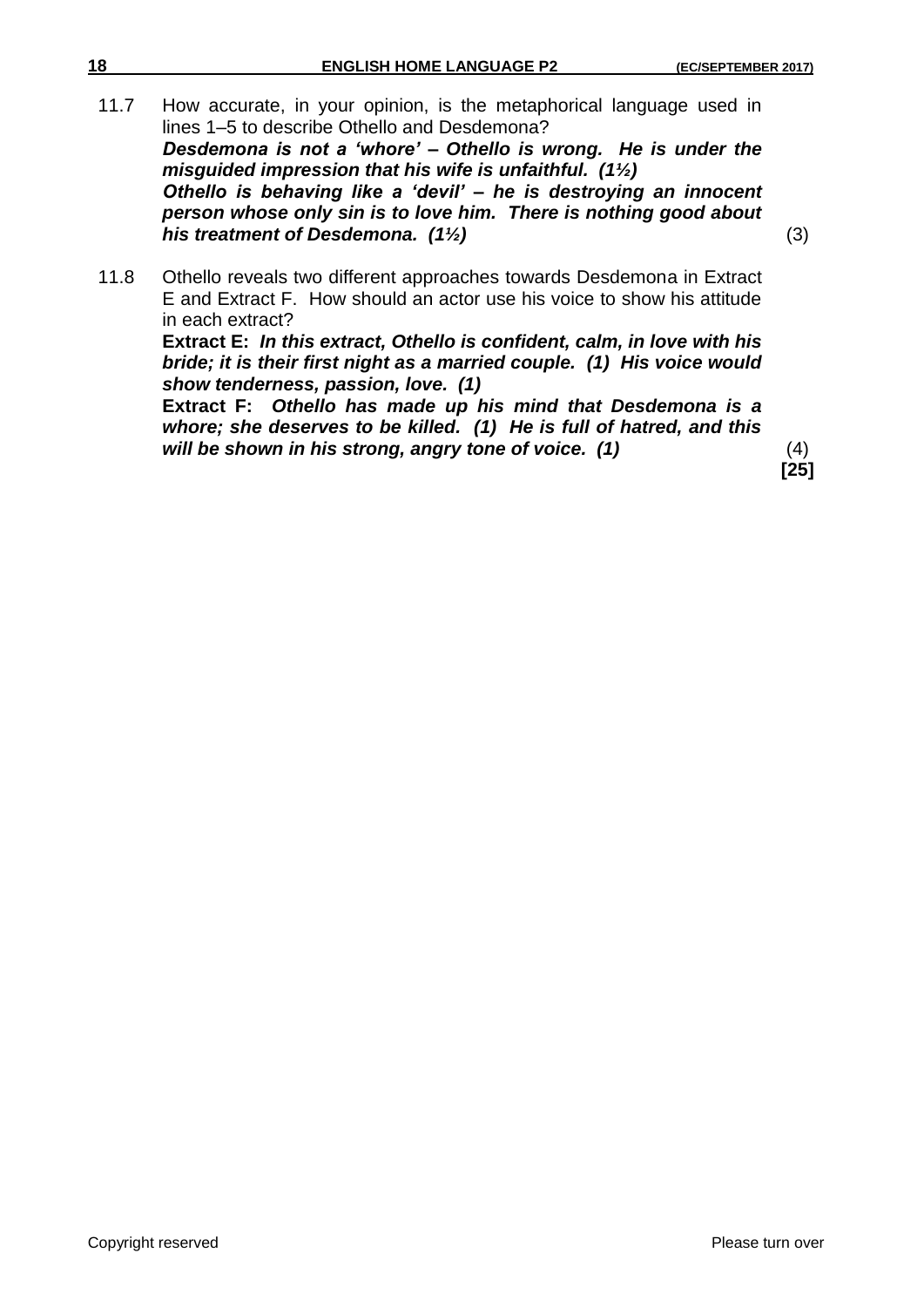11.7 How accurate, in your opinion, is the metaphorical language used in lines 1–5 to describe Othello and Desdemona? *Desdemona is not a 'whore' – Othello is wrong. He is under the misguided impression that his wife is unfaithful. (1½) Othello is behaving like a 'devil' – he is destroying an innocent person whose only sin is to love him. There is nothing good about his treatment of Desdemona. (1½)* (3)

11.8 Othello reveals two different approaches towards Desdemona in Extract E and Extract F. How should an actor use his voice to show his attitude in each extract?

**Extract E:** *In this extract, Othello is confident, calm, in love with his bride; it is their first night as a married couple. (1) His voice would show tenderness, passion, love. (1)*

**Extract F:** *Othello has made up his mind that Desdemona is a whore; she deserves to be killed. (1) He is full of hatred, and this will be shown in his strong, angry tone of voice. (1)* (4)

**[25]**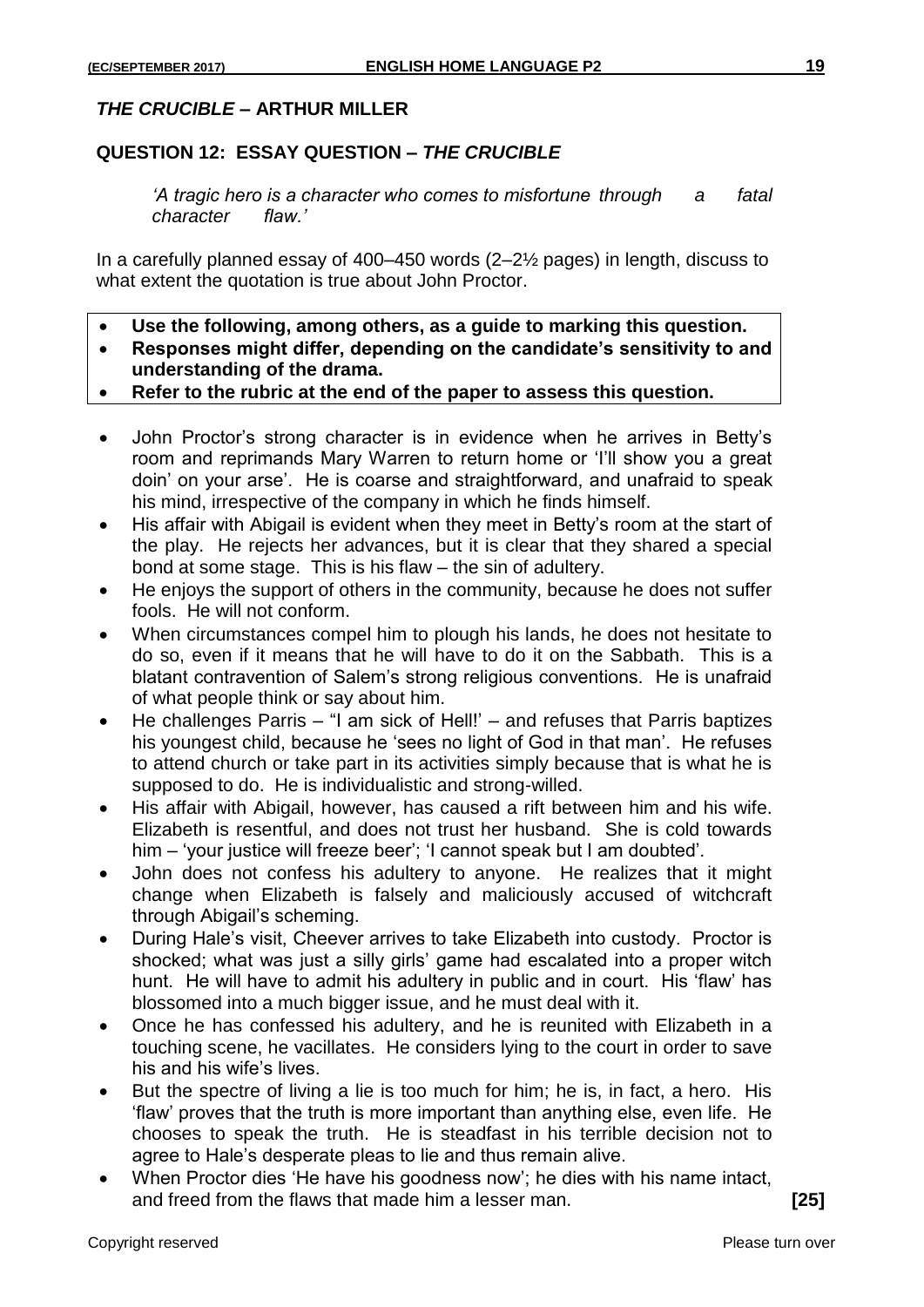## *THE CRUCIBLE* **– ARTHUR MILLER**

## **QUESTION 12: ESSAY QUESTION –** *THE CRUCIBLE*

*'A tragic hero is a character who comes to misfortune through a fatal character flaw.'*

In a carefully planned essay of 400–450 words (2–2½ pages) in length, discuss to what extent the quotation is true about John Proctor.

- **Use the following, among others, as a guide to marking this question.**
- **Responses might differ, depending on the candidate's sensitivity to and understanding of the drama.**
- **Refer to the rubric at the end of the paper to assess this question.**
- John Proctor's strong character is in evidence when he arrives in Betty's room and reprimands Mary Warren to return home or 'I'll show you a great doin' on your arse'. He is coarse and straightforward, and unafraid to speak his mind, irrespective of the company in which he finds himself.
- His affair with Abigail is evident when they meet in Betty's room at the start of the play. He rejects her advances, but it is clear that they shared a special bond at some stage. This is his flaw – the sin of adultery.
- He enjoys the support of others in the community, because he does not suffer fools. He will not conform.
- When circumstances compel him to plough his lands, he does not hesitate to do so, even if it means that he will have to do it on the Sabbath. This is a blatant contravention of Salem's strong religious conventions. He is unafraid of what people think or say about him.
- He challenges Parris "I am sick of Hell!' and refuses that Parris baptizes his youngest child, because he 'sees no light of God in that man'. He refuses to attend church or take part in its activities simply because that is what he is supposed to do. He is individualistic and strong-willed.
- His affair with Abigail, however, has caused a rift between him and his wife. Elizabeth is resentful, and does not trust her husband. She is cold towards him – 'your justice will freeze beer'; 'I cannot speak but I am doubted'.
- John does not confess his adultery to anyone. He realizes that it might change when Elizabeth is falsely and maliciously accused of witchcraft through Abigail's scheming.
- During Hale's visit, Cheever arrives to take Elizabeth into custody. Proctor is shocked; what was just a silly girls' game had escalated into a proper witch hunt. He will have to admit his adultery in public and in court. His 'flaw' has blossomed into a much bigger issue, and he must deal with it.
- Once he has confessed his adultery, and he is reunited with Elizabeth in a touching scene, he vacillates. He considers lying to the court in order to save his and his wife's lives.
- But the spectre of living a lie is too much for him; he is, in fact, a hero. His 'flaw' proves that the truth is more important than anything else, even life. He chooses to speak the truth. He is steadfast in his terrible decision not to agree to Hale's desperate pleas to lie and thus remain alive.
- When Proctor dies 'He have his goodness now'; he dies with his name intact, and freed from the flaws that made him a lesser man. **[25]**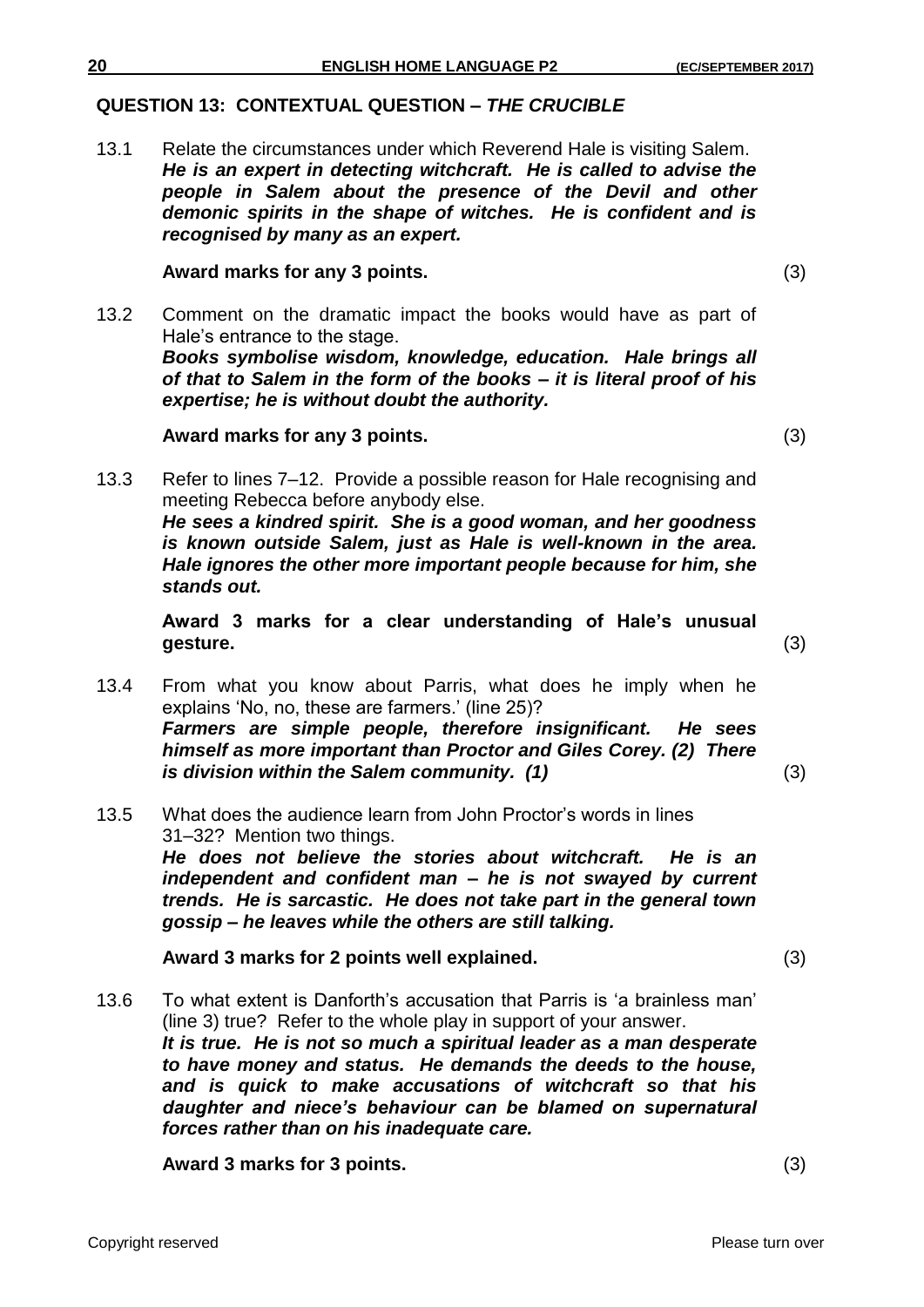## **QUESTION 13: CONTEXTUAL QUESTION –** *THE CRUCIBLE*

13.1 Relate the circumstances under which Reverend Hale is visiting Salem. *He is an expert in detecting witchcraft. He is called to advise the people in Salem about the presence of the Devil and other demonic spirits in the shape of witches. He is confident and is recognised by many as an expert.*

### **Award marks for any 3 points.** (3)

13.2 Comment on the dramatic impact the books would have as part of Hale's entrance to the stage. *Books symbolise wisdom, knowledge, education. Hale brings all of that to Salem in the form of the books – it is literal proof of his expertise; he is without doubt the authority.* 

## **Award marks for any 3 points.** (3)

13.3 Refer to lines 7–12. Provide a possible reason for Hale recognising and meeting Rebecca before anybody else. *He sees a kindred spirit. She is a good woman, and her goodness is known outside Salem, just as Hale is well-known in the area. Hale ignores the other more important people because for him, she stands out.*

**Award 3 marks for a clear understanding of Hale's unusual gesture.** (3)

- 13.4 From what you know about Parris, what does he imply when he explains 'No, no, these are farmers.' (line 25)? *Farmers are simple people, therefore insignificant. He sees himself as more important than Proctor and Giles Corey. (2) There is division within the Salem community. (1)* (3)
- 13.5 What does the audience learn from John Proctor's words in lines 31–32? Mention two things. *He does not believe the stories about witchcraft. He is an independent and confident man – he is not swayed by current trends. He is sarcastic. He does not take part in the general town gossip – he leaves while the others are still talking.*

**Award 3 marks for 2 points well explained.** (3)

13.6 To what extent is Danforth's accusation that Parris is 'a brainless man' (line 3) true? Refer to the whole play in support of your answer. *It is true. He is not so much a spiritual leader as a man desperate to have money and status. He demands the deeds to the house, and is quick to make accusations of witchcraft so that his daughter and niece's behaviour can be blamed on supernatural forces rather than on his inadequate care.*

**Award 3 marks for 3 points.** (3)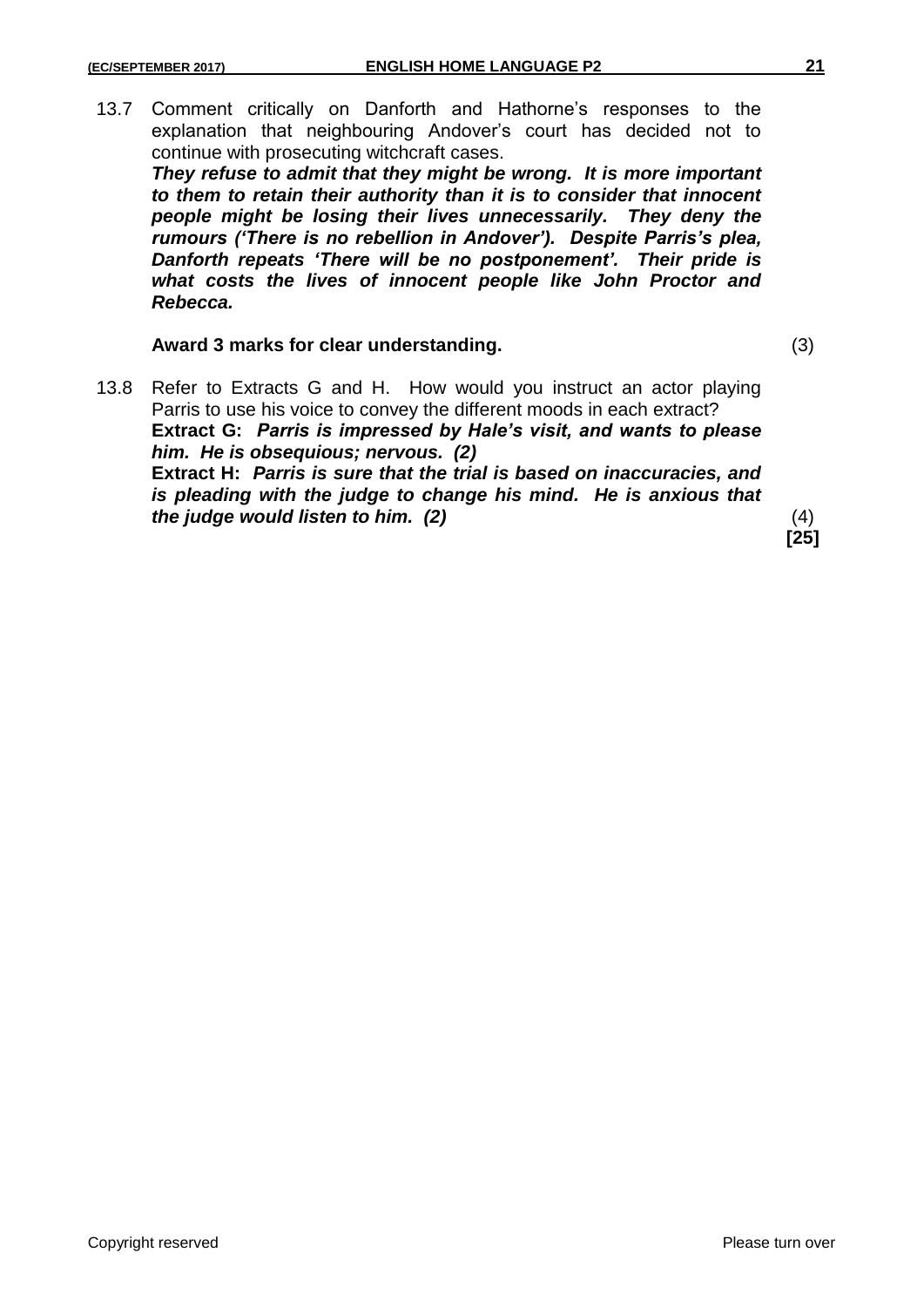13.7 Comment critically on Danforth and Hathorne's responses to the explanation that neighbouring Andover's court has decided not to continue with prosecuting witchcraft cases.

*They refuse to admit that they might be wrong. It is more important to them to retain their authority than it is to consider that innocent people might be losing their lives unnecessarily. They deny the rumours ('There is no rebellion in Andover'). Despite Parris's plea, Danforth repeats 'There will be no postponement'. Their pride is what costs the lives of innocent people like John Proctor and Rebecca.*

**Award 3 marks for clear understanding.** (3)

13.8 Refer to Extracts G and H. How would you instruct an actor playing Parris to use his voice to convey the different moods in each extract? **Extract G:** *Parris is impressed by Hale's visit, and wants to please him. He is obsequious; nervous. (2)* **Extract H:** *Parris is sure that the trial is based on inaccuracies, and is pleading with the judge to change his mind. He is anxious that the judge would listen to him. (2)* (4)

**[25]**

Copyright reserved **Please turn over the Copyright reserved** Please turn over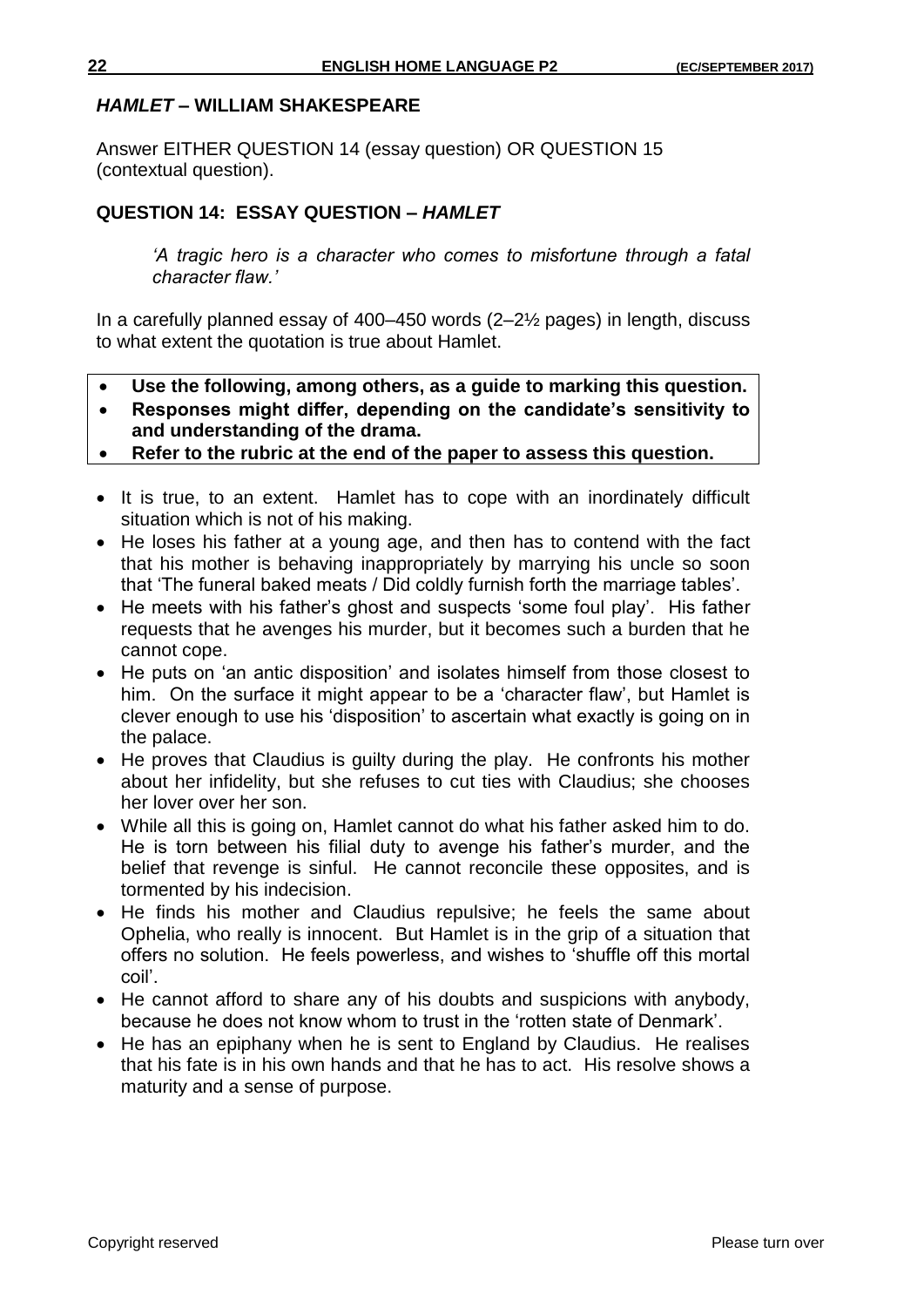### *HAMLET* **– WILLIAM SHAKESPEARE**

Answer EITHER QUESTION 14 (essay question) OR QUESTION 15 (contextual question).

## **QUESTION 14: ESSAY QUESTION –** *HAMLET*

*'A tragic hero is a character who comes to misfortune through a fatal character flaw.'*

In a carefully planned essay of 400–450 words (2–2½ pages) in length, discuss to what extent the quotation is true about Hamlet.

- **Use the following, among others, as a guide to marking this question.**
- **Responses might differ, depending on the candidate's sensitivity to and understanding of the drama.**
- **Refer to the rubric at the end of the paper to assess this question.**
- It is true, to an extent. Hamlet has to cope with an inordinately difficult situation which is not of his making.
- He loses his father at a young age, and then has to contend with the fact that his mother is behaving inappropriately by marrying his uncle so soon that 'The funeral baked meats / Did coldly furnish forth the marriage tables'.
- He meets with his father's ghost and suspects 'some foul play'. His father requests that he avenges his murder, but it becomes such a burden that he cannot cope.
- He puts on 'an antic disposition' and isolates himself from those closest to him. On the surface it might appear to be a 'character flaw', but Hamlet is clever enough to use his 'disposition' to ascertain what exactly is going on in the palace.
- He proves that Claudius is guilty during the play. He confronts his mother about her infidelity, but she refuses to cut ties with Claudius; she chooses her lover over her son.
- While all this is going on, Hamlet cannot do what his father asked him to do. He is torn between his filial duty to avenge his father's murder, and the belief that revenge is sinful. He cannot reconcile these opposites, and is tormented by his indecision.
- He finds his mother and Claudius repulsive; he feels the same about Ophelia, who really is innocent. But Hamlet is in the grip of a situation that offers no solution. He feels powerless, and wishes to 'shuffle off this mortal coil'.
- He cannot afford to share any of his doubts and suspicions with anybody, because he does not know whom to trust in the 'rotten state of Denmark'.
- He has an epiphany when he is sent to England by Claudius. He realises that his fate is in his own hands and that he has to act. His resolve shows a maturity and a sense of purpose.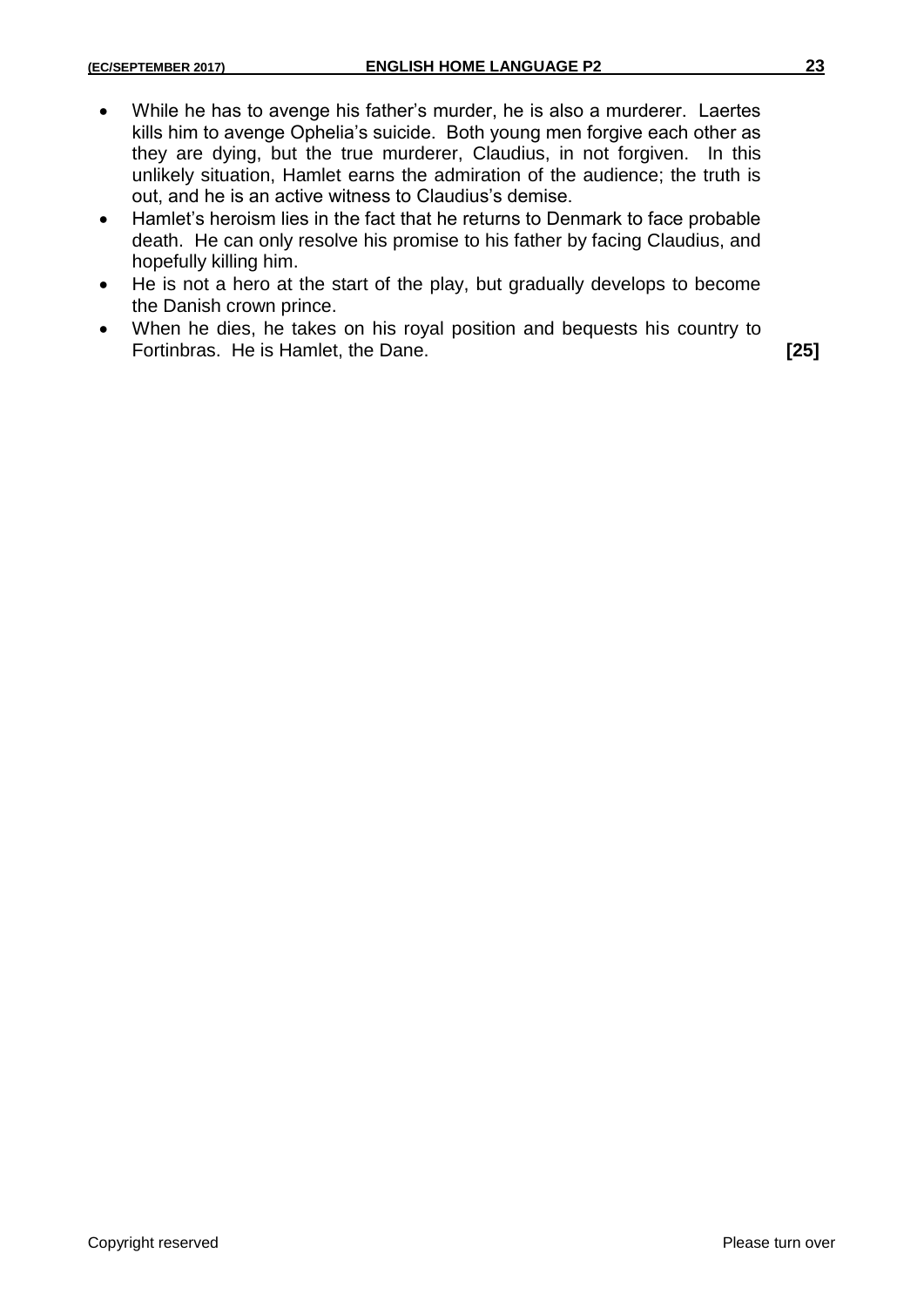- While he has to avenge his father's murder, he is also a murderer. Laertes kills him to avenge Ophelia's suicide. Both young men forgive each other as they are dying, but the true murderer, Claudius, in not forgiven. In this unlikely situation, Hamlet earns the admiration of the audience; the truth is out, and he is an active witness to Claudius's demise.
- Hamlet's heroism lies in the fact that he returns to Denmark to face probable death. He can only resolve his promise to his father by facing Claudius, and hopefully killing him.
- He is not a hero at the start of the play, but gradually develops to become the Danish crown prince.
- When he dies, he takes on his royal position and bequests his country to Fortinbras. He is Hamlet, the Dane. **[25]**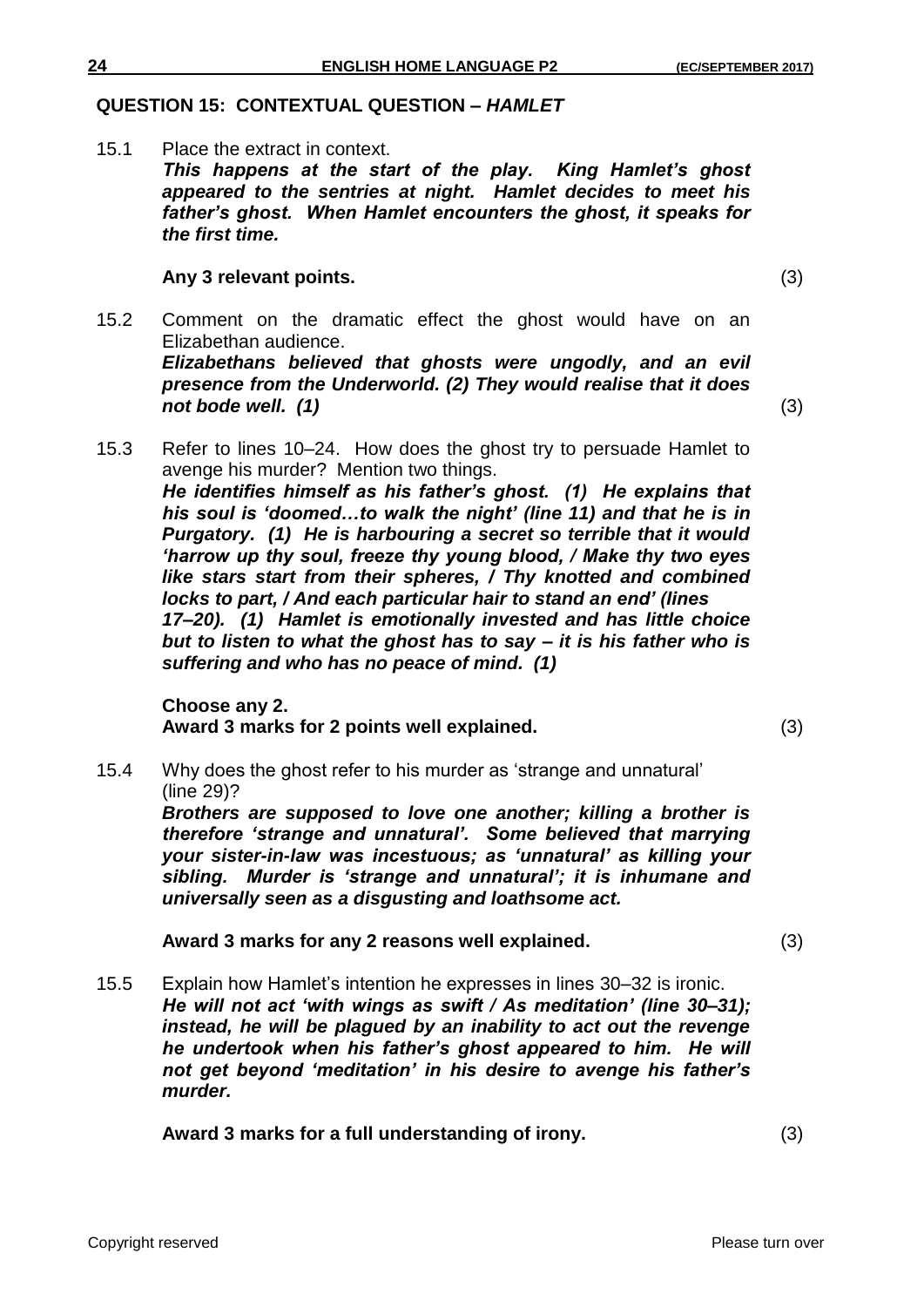## **QUESTION 15: CONTEXTUAL QUESTION –** *HAMLET*

15.1 Place the extract in context. *This happens at the start of the play. King Hamlet's ghost appeared to the sentries at night. Hamlet decides to meet his father's ghost. When Hamlet encounters the ghost, it speaks for the first time.*

### **Any 3 relevant points.** (3)

15.2 Comment on the dramatic effect the ghost would have on an Elizabethan audience. *Elizabethans believed that ghosts were ungodly, and an evil presence from the Underworld. (2) They would realise that it does not bode well.* (1) (3)

15.3 Refer to lines 10–24. How does the ghost try to persuade Hamlet to avenge his murder? Mention two things. *He identifies himself as his father's ghost. (1) He explains that his soul is 'doomed…to walk the night' (line 11) and that he is in Purgatory. (1) He is harbouring a secret so terrible that it would 'harrow up thy soul, freeze thy young blood, / Make thy two eyes like stars start from their spheres, / Thy knotted and combined locks to part, / And each particular hair to stand an end' (lines 17–20). (1) Hamlet is emotionally invested and has little choice but to listen to what the ghost has to say – it is his father who is suffering and who has no peace of mind. (1)*

**Choose any 2. Award 3 marks for 2 points well explained.** (3)

15.4 Why does the ghost refer to his murder as 'strange and unnatural' (line 29)?

*Brothers are supposed to love one another; killing a brother is therefore 'strange and unnatural'. Some believed that marrying your sister-in-law was incestuous; as 'unnatural' as killing your sibling. Murder is 'strange and unnatural'; it is inhumane and universally seen as a disgusting and loathsome act.* 

**Award 3 marks for any 2 reasons well explained.** (3)

15.5 Explain how Hamlet's intention he expresses in lines 30–32 is ironic. *He will not act 'with wings as swift / As meditation' (line 30–31); instead, he will be plagued by an inability to act out the revenge he undertook when his father's ghost appeared to him. He will not get beyond 'meditation' in his desire to avenge his father's murder.*

**Award 3 marks for a full understanding of irony.** (3)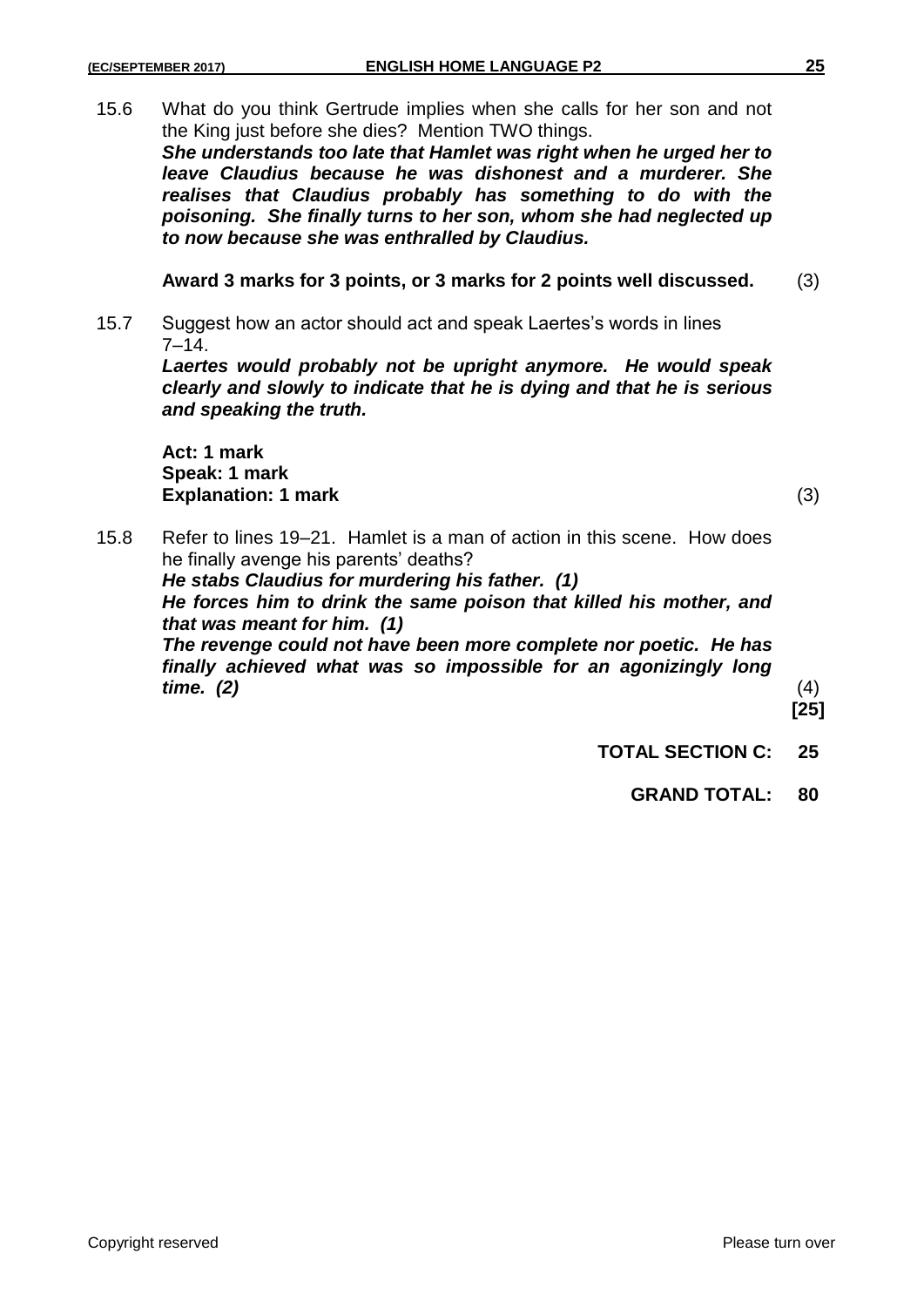15.6 What do you think Gertrude implies when she calls for her son and not the King just before she dies? Mention TWO things.

*She understands too late that Hamlet was right when he urged her to leave Claudius because he was dishonest and a murderer. She realises that Claudius probably has something to do with the poisoning. She finally turns to her son, whom she had neglected up to now because she was enthralled by Claudius.*

**Award 3 marks for 3 points, or 3 marks for 2 points well discussed.** (3)

15.7 Suggest how an actor should act and speak Laertes's words in lines  $7 - 14.$ 

*Laertes would probably not be upright anymore. He would speak clearly and slowly to indicate that he is dying and that he is serious and speaking the truth.*

**Act: 1 mark Speak: 1 mark Explanation: 1 mark** (3)

15.8 Refer to lines 19–21. Hamlet is a man of action in this scene. How does he finally avenge his parents' deaths? *He stabs Claudius for murdering his father. (1) He forces him to drink the same poison that killed his mother, and that was meant for him. (1) The revenge could not have been more complete nor poetic. He has* 

*finally achieved what was so impossible for an agonizingly long time. (2)* (4)

**[25]**

- **TOTAL SECTION C: 25**
	- **GRAND TOTAL: 80**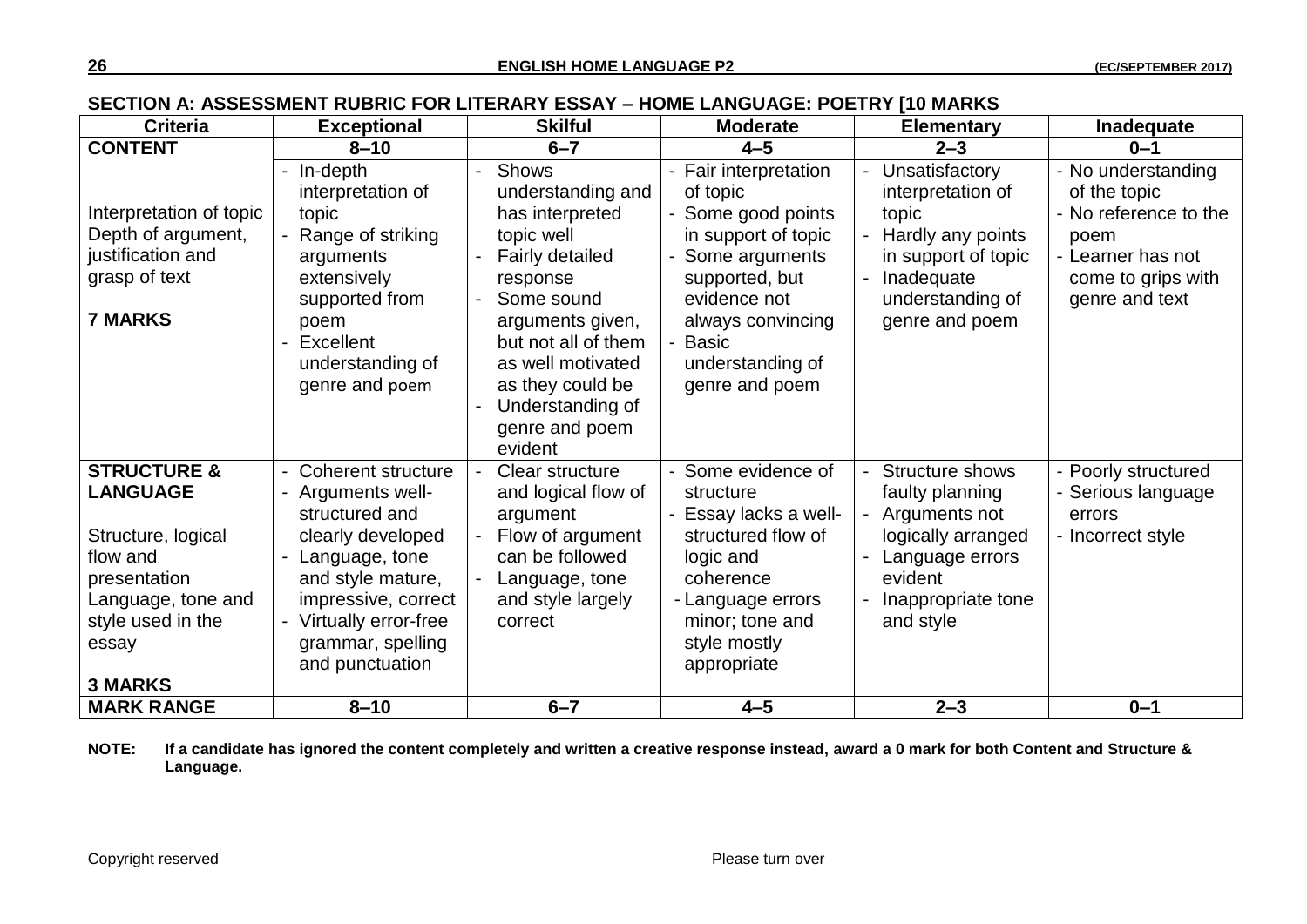## **SECTION A: ASSESSMENT RUBRIC FOR LITERARY ESSAY – HOME LANGUAGE: POETRY [10 MARKS**

| <b>Criteria</b>                                                                                                                                                   | <b>Exceptional</b>                                                                                                                                                                                                | <b>Skilful</b>                                                                                                                                                                                                                                       | <b>Moderate</b>                                                                                                                                                                                        | <b>Elementary</b>                                                                                                                            | Inadequate                                                                                                                       |
|-------------------------------------------------------------------------------------------------------------------------------------------------------------------|-------------------------------------------------------------------------------------------------------------------------------------------------------------------------------------------------------------------|------------------------------------------------------------------------------------------------------------------------------------------------------------------------------------------------------------------------------------------------------|--------------------------------------------------------------------------------------------------------------------------------------------------------------------------------------------------------|----------------------------------------------------------------------------------------------------------------------------------------------|----------------------------------------------------------------------------------------------------------------------------------|
| <b>CONTENT</b>                                                                                                                                                    | $8 - 10$                                                                                                                                                                                                          | $6 - 7$                                                                                                                                                                                                                                              | $4 - 5$                                                                                                                                                                                                | $2 - 3$                                                                                                                                      | $0 - 1$                                                                                                                          |
| Interpretation of topic<br>Depth of argument,<br>justification and<br>grasp of text<br><b>7 MARKS</b>                                                             | In-depth<br>interpretation of<br>topic<br>Range of striking<br>arguments<br>extensively<br>supported from<br>poem<br>Excellent<br>understanding of<br>genre and poem                                              | <b>Shows</b><br>understanding and<br>has interpreted<br>topic well<br>Fairly detailed<br>response<br>Some sound<br>arguments given,<br>but not all of them<br>as well motivated<br>as they could be<br>Understanding of<br>genre and poem<br>evident | - Fair interpretation<br>of topic<br>Some good points<br>in support of topic<br>Some arguments<br>supported, but<br>evidence not<br>always convincing<br>- Basic<br>understanding of<br>genre and poem | Unsatisfactory<br>interpretation of<br>topic<br>Hardly any points<br>in support of topic<br>Inadequate<br>understanding of<br>genre and poem | - No understanding<br>of the topic<br>- No reference to the<br>poem<br>- Learner has not<br>come to grips with<br>genre and text |
| <b>STRUCTURE &amp;</b><br><b>LANGUAGE</b><br>Structure, logical<br>flow and<br>presentation<br>Language, tone and<br>style used in the<br>essay<br><b>3 MARKS</b> | <b>Coherent structure</b><br>Arguments well-<br>structured and<br>clearly developed<br>Language, tone<br>and style mature,<br>impressive, correct<br>Virtually error-free<br>grammar, spelling<br>and punctuation | Clear structure<br>and logical flow of<br>argument<br>Flow of argument<br>can be followed<br>Language, tone<br>and style largely<br>correct                                                                                                          | - Some evidence of<br>structure<br>Essay lacks a well-<br>structured flow of<br>logic and<br>coherence<br>- Language errors<br>minor; tone and<br>style mostly<br>appropriate                          | Structure shows<br>faulty planning<br>Arguments not<br>logically arranged<br>Language errors<br>evident<br>Inappropriate tone<br>and style   | - Poorly structured<br>Serious language<br>errors<br>- Incorrect style                                                           |
| <b>MARK RANGE</b>                                                                                                                                                 | $8 - 10$                                                                                                                                                                                                          | $6 - 7$                                                                                                                                                                                                                                              | $4 - 5$                                                                                                                                                                                                | $2 - 3$                                                                                                                                      | $0 - 1$                                                                                                                          |

#### **NOTE: If a candidate has ignored the content completely and written a creative response instead, award a 0 mark for both Content and Structure & Language.**